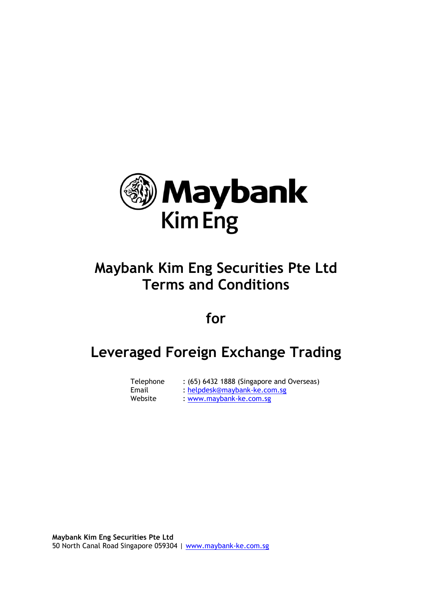

# **Maybank Kim Eng Securities Pte Ltd Terms and Conditions**

## **for**

## **Leveraged Foreign Exchange Trading**

| Telephone | : (65) 6432 1888 (Singapore and Overseas) |
|-----------|-------------------------------------------|
| Email     | : helpdesk@maybank-ke.com.sg              |
| Website   | : www.maybank-ke.com.sg                   |

**Maybank Kim Eng Securities Pte Ltd** 50 North Canal Road Singapore 059304 | [www.maybank-ke.com.sg](http://www.maybank-ke.com.sg/)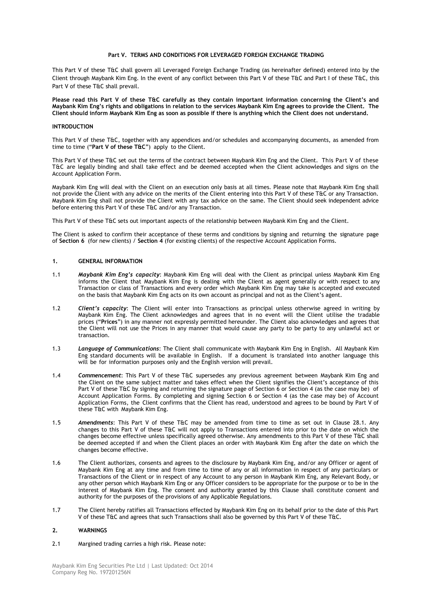#### **Part V. TERMS AND CONDITIONS FOR LEVERAGED FOREIGN EXCHANGE TRADING**

This Part V of these T&C shall govern all Leveraged Foreign Exchange Trading (as hereinafter defined) entered into by the Client through Maybank Kim Eng. In the event of any conflict between this Part V of these T&C and Part I of these T&C, this Part V of these T&C shall prevail.

**Please read this Part V of these T&C carefully as they contain important information concerning the Client's and Maybank Kim Eng's rights and obligations in relation to the services Maybank Kim Eng agrees to provide the Client. The Client should inform Maybank Kim Eng as soon as possible if there is anything which the Client does not understand.**

#### **INTRODUCTION**

This Part V of these T&C, together with any appendices and/or schedules and accompanying documents, as amended from time to time ("**Part V of these T&C**") apply to the Client.

This Part V of these T&C set out the terms of the contract between Maybank Kim Eng and the Client. This Part V of these T&C are legally binding and shall take effect and be deemed accepted when the Client acknowledges and signs on the Account Application Form.

Maybank Kim Eng will deal with the Client on an execution only basis at all times. Please note that Maybank Kim Eng shall not provide the Client with any advice on the merits of the Client entering into this Part V of these T&C or any Transaction. Maybank Kim Eng shall not provide the Client with any tax advice on the same. The Client should seek independent advice before entering this Part V of these T&C and/or any Transaction.

This Part V of these T&C sets out important aspects of the relationship between Maybank Kim Eng and the Client.

The Client is asked to confirm their acceptance of these terms and conditions by signing and returning the signature page of **Section 6** (for new clients) / **Section 4** (for existing clients) of the respective Account Application Forms.

## **1. GENERAL INFORMATION**

- 1.1 *Maybank Kim Eng's capacity*: Maybank Kim Eng will deal with the Client as principal unless Maybank Kim Eng informs the Client that Maybank Kim Eng is dealing with the Client as agent generally or with respect to any Transaction or class of Transactions and every order which Maybank Kim Eng may take is accepted and executed on the basis that Maybank Kim Eng acts on its own account as principal and not as the Client"s agent.
- 1.2 *Client's capacity*: The Client will enter into Transactions as principal unless otherwise agreed in writing by Maybank Kim Eng. The Client acknowledges and agrees that in no event will the Client utilise the tradable prices ("**Prices**") in any manner not expressly permitted hereunder. The Client also acknowledges and agrees that the Client will not use the Prices in any manner that would cause any party to be party to any unlawful act or transaction.
- 1.3 *Language of Communications*: The Client shall communicate with Maybank Kim Eng in English. All Maybank Kim Eng standard documents will be available in English. If a document is translated into another language this will be for information purposes only and the English version will prevail.
- 1.4 *Commencement*: This Part V of these T&C supersedes any previous agreement between Maybank Kim Eng and the Client on the same subject matter and takes effect when the Client signifies the Client"s acceptance of this Part V of these T&C by signing and returning the signature page of Section 6 or Section 4 (as the case may be) of Account Application Forms. By completing and signing Section 6 or Section 4 (as the case may be) of Account Application Forms, the Client confirms that the Client has read, understood and agrees to be bound by Part V of these T&C with Maybank Kim Eng.
- 1.5 *Amendments*: This Part V of these T&C may be amended from time to time as set out in Clause 28.1. Any changes to this Part V of these T&C will not apply to Transactions entered into prior to the date on which the changes become effective unless specifically agreed otherwise. Any amendments to this Part V of these T&C shall be deemed accepted if and when the Client places an order with Maybank Kim Eng after the date on which the changes become effective.
- 1.6 The Client authorizes, consents and agrees to the disclosure by Maybank Kim Eng, and/or any Officer or agent of Maybank Kim Eng at any time and from time to time of any or all information in respect of any particulars or Transactions of the Client or in respect of any Account to any person in Maybank Kim Eng, any Relevant Body, or any other person which Maybank Kim Eng or any Officer considers to be appropriate for the purpose or to be in the interest of Maybank Kim Eng. The consent and authority granted by this Clause shall constitute consent and authority for the purposes of the provisions of any Applicable Regulations.
- 1.7 The Client hereby ratifies all Transactions effected by Maybank Kim Eng on its behalf prior to the date of this Part V of these T&C and agrees that such Transactions shall also be governed by this Part V of these T&C.

#### **2. WARNINGS**

2.1 Margined trading carries a high risk. Please note: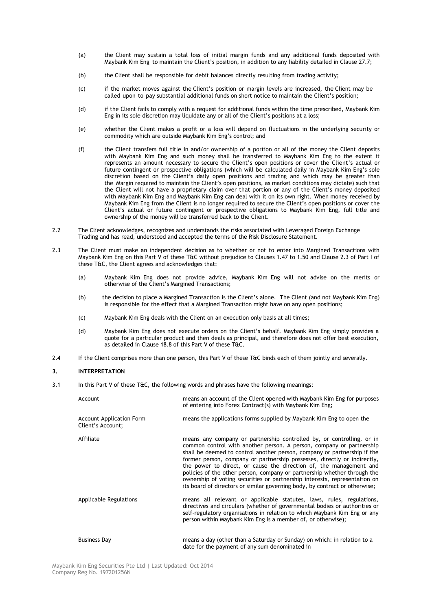- (a) the Client may sustain a total loss of initial margin funds and any additional funds deposited with Maybank Kim Eng to maintain the Client"s position, in addition to any liability detailed in Clause 27.7;
- (b) the Client shall be responsible for debit balances directly resulting from trading activity;
- (c) if the market moves against the Client"s position or margin levels are increased, the Client may be called upon to pay substantial additional funds on short notice to maintain the Client"s position;
- (d) if the Client fails to comply with a request for additional funds within the time prescribed, Maybank Kim Eng in its sole discretion may liquidate any or all of the Client"s positions at a loss;
- (e) whether the Client makes a profit or a loss will depend on fluctuations in the underlying security or commodity which are outside Maybank Kim Eng"s control; and
- (f) the Client transfers full title in and/or ownership of a portion or all of the money the Client deposits with Maybank Kim Eng and such money shall be transferred to Maybank Kim Eng to the extent it represents an amount necessary to secure the Client"s open positions or cover the Client"s actual or future contingent or prospective obligations (which will be calculated daily in Maybank Kim Eng"s sole discretion based on the Client"s daily open positions and trading and which may be greater than the Margin required to maintain the Client"s open positions, as market conditions may dictate) such that the Client will not have a proprietary claim over that portion or any of the Client"s money deposited with Maybank Kim Eng and Maybank Kim Eng can deal with it on its own right. When money received by Maybank Kim Eng from the Client is no longer required to secure the Client"s open positions or cover the Client"s actual or future contingent or prospective obligations to Maybank Kim Eng, full title and ownership of the money will be transferred back to the Client.
- 2.2 The Client acknowledges, recognizes and understands the risks associated with Leveraged Foreign Exchange Trading and has read, understood and accepted the terms of the Risk Disclosure Statement.
- 2.3 The Client must make an independent decision as to whether or not to enter into Margined Transactions with Maybank Kim Eng on this Part V of these T&C without prejudice to Clauses 1.47 to 1.50 and Clause 2.3 of Part I of these T&C, the Client agrees and acknowledges that:
	- (a) Maybank Kim Eng does not provide advice, Maybank Kim Eng will not advise on the merits or otherwise of the Client"s Margined Transactions;
	- (b) the decision to place a Margined Transaction is the Client's alone. The Client (and not Maybank Kim Eng) is responsible for the effect that a Margined Transaction might have on any open positions;
	- (c) Maybank Kim Eng deals with the Client on an execution only basis at all times;
	- (d) Maybank Kim Eng does not execute orders on the Client"s behalf. Maybank Kim Eng simply provides a quote for a particular product and then deals as principal, and therefore does not offer best execution, as detailed in Clause 18.8 of this Part V of these T&C.
- 2.4 If the Client comprises more than one person, this Part V of these T&C binds each of them jointly and severally.

#### **3. INTERPRETATION**

3.1 In this Part V of these T&C, the following words and phrases have the following meanings:

| Account                                              | means an account of the Client opened with Maybank Kim Eng for purposes<br>of entering into Forex Contract(s) with Maybank Kim Eng;                                                                                                                                                                                                                                                                                                                                                                                                                                                                                  |
|------------------------------------------------------|----------------------------------------------------------------------------------------------------------------------------------------------------------------------------------------------------------------------------------------------------------------------------------------------------------------------------------------------------------------------------------------------------------------------------------------------------------------------------------------------------------------------------------------------------------------------------------------------------------------------|
| <b>Account Application Form</b><br>Client's Account; | means the applications forms supplied by Maybank Kim Eng to open the                                                                                                                                                                                                                                                                                                                                                                                                                                                                                                                                                 |
| Affiliate                                            | means any company or partnership controlled by, or controlling, or in<br>common control with another person. A person, company or partnership<br>shall be deemed to control another person, company or partnership if the<br>former person, company or partnership possesses, directly or indirectly,<br>the power to direct, or cause the direction of, the management and<br>policies of the other person, company or partnership whether through the<br>ownership of voting securities or partnership interests, representation on<br>its board of directors or similar governing body, by contract or otherwise; |
| <b>Applicable Regulations</b>                        | means all relevant or applicable statutes, laws, rules, regulations,<br>directives and circulars (whether of governmental bodies or authorities or<br>self-regulatory organisations in relation to which Maybank Kim Eng or any<br>person within Maybank Kim Eng is a member of, or otherwise);                                                                                                                                                                                                                                                                                                                      |
| <b>Business Day</b>                                  | means a day (other than a Saturday or Sunday) on which: in relation to a<br>date for the payment of any sum denominated in                                                                                                                                                                                                                                                                                                                                                                                                                                                                                           |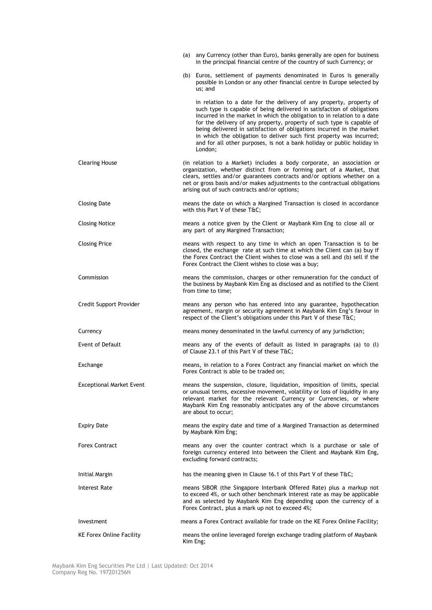|                                 | (a) any Currency (other than Euro), banks generally are open for business<br>in the principal financial centre of the country of such Currency; or                                                                                                                                                                                                                                                                                                                                                                                      |
|---------------------------------|-----------------------------------------------------------------------------------------------------------------------------------------------------------------------------------------------------------------------------------------------------------------------------------------------------------------------------------------------------------------------------------------------------------------------------------------------------------------------------------------------------------------------------------------|
|                                 | (b) Euros, settlement of payments denominated in Euros is generally<br>possible in London or any other financial centre in Europe selected by<br>us; and                                                                                                                                                                                                                                                                                                                                                                                |
|                                 | in relation to a date for the delivery of any property, property of<br>such type is capable of being delivered in satisfaction of obligations<br>incurred in the market in which the obligation to in relation to a date<br>for the delivery of any property, property of such type is capable of<br>being delivered in satisfaction of obligations incurred in the market<br>in which the obligation to deliver such first property was incurred;<br>and for all other purposes, is not a bank holiday or public holiday in<br>London; |
| <b>Clearing House</b>           | (in relation to a Market) includes a body corporate, an association or<br>organization, whether distinct from or forming part of a Market, that<br>clears, settles and/or guarantees contracts and/or options whether on a<br>net or gross basis and/or makes adjustments to the contractual obligations<br>arising out of such contracts and/or options;                                                                                                                                                                               |
| <b>Closing Date</b>             | means the date on which a Margined Transaction is closed in accordance<br>with this Part V of these T&C                                                                                                                                                                                                                                                                                                                                                                                                                                 |
| <b>Closing Notice</b>           | means a notice given by the Client or Maybank Kim Eng to close all or<br>any part of any Margined Transaction;                                                                                                                                                                                                                                                                                                                                                                                                                          |
| <b>Closing Price</b>            | means with respect to any time in which an open Transaction is to be<br>closed, the exchange rate at such time at which the Client can (a) buy if<br>the Forex Contract the Client wishes to close was a sell and (b) sell if the<br>Forex Contract the Client wishes to close was a buy;                                                                                                                                                                                                                                               |
| Commission                      | means the commission, charges or other remuneration for the conduct of<br>the business by Maybank Kim Eng as disclosed and as notified to the Client<br>from time to time;                                                                                                                                                                                                                                                                                                                                                              |
| Credit Support Provider         | means any person who has entered into any guarantee, hypothecation<br>agreement, margin or security agreement in Maybank Kim Eng's favour in<br>respect of the Client's obligations under this Part V of these T&C                                                                                                                                                                                                                                                                                                                      |
| Currency                        | means money denominated in the lawful currency of any jurisdiction;                                                                                                                                                                                                                                                                                                                                                                                                                                                                     |
| <b>Event of Default</b>         | means any of the events of default as listed in paragraphs (a) to $(l)$<br>of Clause 23.1 of this Part V of these T&C                                                                                                                                                                                                                                                                                                                                                                                                                   |
| Exchange                        | means, in relation to a Forex Contract any financial market on which the<br>Forex Contract is able to be traded on:                                                                                                                                                                                                                                                                                                                                                                                                                     |
| <b>Exceptional Market Event</b> | means the suspension, closure, liquidation, imposition of limits, special<br>or unusual terms, excessive movement, volatility or loss of liquidity in any<br>relevant market for the relevant Currency or Currencies, or where<br>Maybank Kim Eng reasonably anticipates any of the above circumstances<br>are about to occur;                                                                                                                                                                                                          |
| <b>Expiry Date</b>              | means the expiry date and time of a Margined Transaction as determined<br>by Maybank Kim Eng;                                                                                                                                                                                                                                                                                                                                                                                                                                           |
| <b>Forex Contract</b>           | means any over the counter contract which is a purchase or sale of<br>foreign currency entered into between the Client and Maybank Kim Eng,<br>excluding forward contracts;                                                                                                                                                                                                                                                                                                                                                             |
| Initial Margin                  | has the meaning given in Clause 16.1 of this Part V of these T&C                                                                                                                                                                                                                                                                                                                                                                                                                                                                        |
| Interest Rate                   | means SIBOR (the Singapore Interbank Offered Rate) plus a markup not<br>to exceed 4%, or such other benchmark interest rate as may be applicable<br>and as selected by Maybank Kim Eng depending upon the currency of a<br>Forex Contract, plus a mark up not to exceed 4%;                                                                                                                                                                                                                                                             |
| Investment                      | means a Forex Contract available for trade on the KE Forex Online Facility;                                                                                                                                                                                                                                                                                                                                                                                                                                                             |
| <b>KE Forex Online Facility</b> | means the online leveraged foreign exchange trading platform of Maybank<br>Kim Eng;                                                                                                                                                                                                                                                                                                                                                                                                                                                     |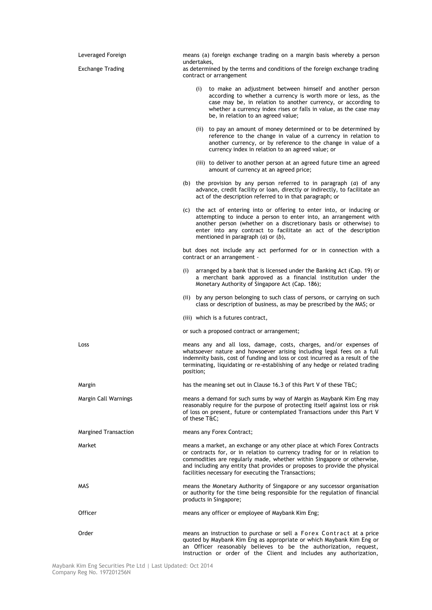| Leveraged Foreign       | means (a) foreign exchange trading on a margin basis whereby a person<br>undertakes,                                                                                                                                                                                                                                                                                  |
|-------------------------|-----------------------------------------------------------------------------------------------------------------------------------------------------------------------------------------------------------------------------------------------------------------------------------------------------------------------------------------------------------------------|
| <b>Exchange Trading</b> | as determined by the terms and conditions of the foreign exchange trading<br>contract or arrangement                                                                                                                                                                                                                                                                  |
|                         | (i)<br>to make an adjustment between himself and another person<br>according to whether a currency is worth more or less, as the<br>case may be, in relation to another currency, or according to<br>whether a currency index rises or falls in value, as the case may<br>be, in relation to an agreed value;                                                         |
|                         | (ii) to pay an amount of money determined or to be determined by<br>reference to the change in value of a currency in relation to<br>another currency, or by reference to the change in value of a<br>currency index in relation to an agreed value; or                                                                                                               |
|                         | (iii) to deliver to another person at an agreed future time an agreed<br>amount of currency at an agreed price;                                                                                                                                                                                                                                                       |
|                         | (b) the provision by any person referred to in paragraph $(a)$ of any<br>advance, credit facility or loan, directly or indirectly, to facilitate an<br>act of the description referred to in that paragraph; or                                                                                                                                                       |
|                         | (c) the act of entering into or offering to enter into, or inducing or<br>attempting to induce a person to enter into, an arrangement with<br>another person (whether on a discretionary basis or otherwise) to<br>enter into any contract to facilitate an act of the description<br>mentioned in paragraph $(a)$ or $(b)$ ,                                         |
|                         | but does not include any act performed for or in connection with a<br>contract or an arrangement -                                                                                                                                                                                                                                                                    |
|                         | arranged by a bank that is licensed under the Banking Act (Cap. 19) or<br>(i)<br>a merchant bank approved as a financial institution under the<br>Monetary Authority of Singapore Act (Cap. 186);                                                                                                                                                                     |
|                         | (ii) by any person belonging to such class of persons, or carrying on such<br>class or description of business, as may be prescribed by the MAS; or                                                                                                                                                                                                                   |
|                         | (iii) which is a futures contract,                                                                                                                                                                                                                                                                                                                                    |
|                         | or such a proposed contract or arrangement;                                                                                                                                                                                                                                                                                                                           |
| Loss                    | means any and all loss, damage, costs, charges, and/or expenses of<br>whatsoever nature and howsoever arising including legal fees on a full<br>indemnity basis, cost of funding and loss or cost incurred as a result of the<br>terminating, liquidating or re-establishing of any hedge or related trading<br>position;                                             |
| Margin                  | has the meaning set out in Clause 16.3 of this Part V of these T&C                                                                                                                                                                                                                                                                                                    |
| Margin Call Warnings    | means a demand for such sums by way of Margin as Maybank Kim Eng may<br>reasonably require for the purpose of protecting itself against loss or risk<br>of loss on present, future or contemplated Transactions under this Part V<br>of these T&C                                                                                                                     |
| Margined Transaction    | means any Forex Contract;                                                                                                                                                                                                                                                                                                                                             |
| Market                  | means a market, an exchange or any other place at which Forex Contracts<br>or contracts for, or in relation to currency trading for or in relation to<br>commodities are regularly made, whether within Singapore or otherwise,<br>and including any entity that provides or proposes to provide the physical<br>facilities necessary for executing the Transactions; |
| MAS                     | means the Monetary Authority of Singapore or any successor organisation<br>or authority for the time being responsible for the regulation of financial<br>products in Singapore;                                                                                                                                                                                      |
| Officer                 | means any officer or employee of Maybank Kim Eng;                                                                                                                                                                                                                                                                                                                     |
| Order                   | means an instruction to purchase or sell a Forex Contract at a price<br>quoted by Maybank Kim Eng as appropriate or which Maybank Kim Eng or<br>an Officer reasonably believes to be the authorization, request,<br>instruction or order of the Client and includes any authorization,                                                                                |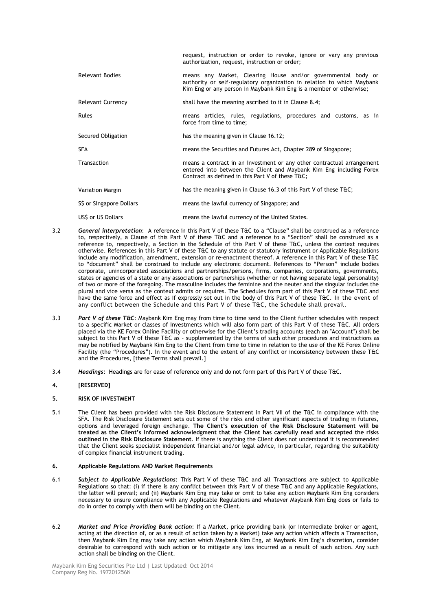|                          | request, instruction or order to revoke, ignore or vary any previous<br>authorization, request, instruction or order;                                                                                        |
|--------------------------|--------------------------------------------------------------------------------------------------------------------------------------------------------------------------------------------------------------|
| <b>Relevant Bodies</b>   | means any Market, Clearing House and/or governmental body or<br>authority or self-regulatory organization in relation to which Maybank<br>Kim Eng or any person in Maybank Kim Eng is a member or otherwise; |
| <b>Relevant Currency</b> | shall have the meaning ascribed to it in Clause 8.4;                                                                                                                                                         |
| Rules                    | means articles, rules, regulations, procedures and customs, as in<br>force from time to time;                                                                                                                |
| Secured Obligation       | has the meaning given in Clause 16.12;                                                                                                                                                                       |
| <b>SFA</b>               | means the Securities and Futures Act, Chapter 289 of Singapore;                                                                                                                                              |
| Transaction              | means a contract in an Investment or any other contractual arrangement<br>entered into between the Client and Maybank Kim Eng including Forex<br>Contract as defined in this Part V of these T&C             |
| <b>Variation Margin</b>  | has the meaning given in Clause 16.3 of this Part V of these T&C                                                                                                                                             |
| S\$ or Singapore Dollars | means the lawful currency of Singapore; and                                                                                                                                                                  |
| USS or US Dollars        | means the lawful currency of the United States.                                                                                                                                                              |

- 3.2 *General interpretation*: A reference in this Part V of these T&C to a "Clause" shall be construed as a reference to, respectively, a Clause of this Part V of these T&C and a reference to a "Section" shall be construed as a reference to, respectively, a Section in the Schedule of this Part V of these T&C, unless the context requires otherwise. References in this Part V of these T&C to any statute or statutory instrument or Applicable Regulations include any modification, amendment, extension or re-enactment thereof. A reference in this Part V of these T&C to "document" shall be construed to include any electronic document. References to "Person" include bodies corporate, unincorporated associations and partnerships/persons, firms, companies, corporations, governments, states or agencies of a state or any associations or partnerships (whether or not having separate legal personality) of two or more of the foregoing. The masculine includes the feminine and the neuter and the singular includes the plural and vice versa as the context admits or requires. The Schedules form part of this Part V of these T&C and have the same force and effect as if expressly set out in the body of this Part V of these T&C. In the event of any conflict between the Schedule and this Part V of these T&C, the Schedule shall prevail.
- 3.3 *Part V of these T&C*: Maybank Kim Eng may from time to time send to the Client further schedules with respect to a specific Market or classes of Investments which will also form part of this Part V of these T&C. All orders placed via the KE Forex Online Facility or otherwise for the Client"s trading accounts (each an "Account") shall be subject to this Part V of these T&C as - supplemented by the terms of such other procedures and instructions as may be notified by Maybank Kim Eng to the Client from time to time in relation to the use of the KE Forex Online Facility (the "Procedures"). In the event and to the extent of any conflict or inconsistency between these T&C and the Procedures, [these Terms shall prevail.]
- 3.4 *Headings*: Headings are for ease of reference only and do not form part of this Part V of these T&C.

## **4. [RESERVED]**

### **5. RISK OF INVESTMENT**

5.1 The Client has been provided with the Risk Disclosure Statement in Part VII of the T&C in compliance with the SFA. The Risk Disclosure Statement sets out some of the risks and other significant aspects of trading in futures, options and leveraged foreign exchange. **The Client's execution of the Risk Disclosure Statement will be treated as the Client's informed acknowledgment that the Client has carefully read and accepted the risks outlined in the Risk Disclosure Statement**. If there is anything the Client does not understand it is recommended that the Client seeks specialist independent financial and/or legal advice, in particular, regarding the suitability of complex financial instrument trading.

#### **6. Applicable Regulations AND Market Requirements**

- 6.1 *Subject to Applicable Regulations*: This Part V of these T&C and all Transactions are subject to Applicable Regulations so that: (i) if there is any conflict between this Part V of these T&C and any Applicable Regulations, the latter will prevail; and (ii) Maybank Kim Eng may take or omit to take any action Maybank Kim Eng considers necessary to ensure compliance with any Applicable Regulations and whatever Maybank Kim Eng does or fails to do in order to comply with them will be binding on the Client.
- 6.2 *Market and Price Providing Bank action*: If a Market, price providing bank (or intermediate broker or agent, acting at the direction of, or as a result of action taken by a Market) take any action which affects a Transaction, then Maybank Kim Eng may take any action which Maybank Kim Eng, at Maybank Kim Eng"s discretion, consider desirable to correspond with such action or to mitigate any loss incurred as a result of such action. Any such action shall be binding on the Client.

Maybank Kim Eng Securities Pte Ltd | Last Updated: Oct 2014 Company Reg No. 197201256N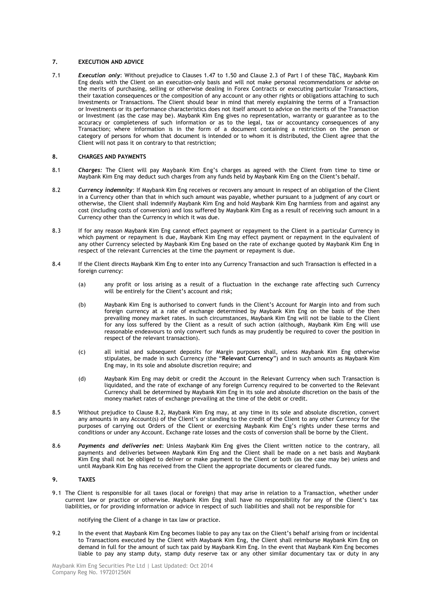## **7. EXECUTION AND ADVICE**

7.1 *Execution only*: Without prejudice to Clauses 1.47 to 1.50 and Clause 2.3 of Part I of these T&C, Maybank Kim Eng deals with the Client on an execution-only basis and will not make personal recommendations or advise on the merits of purchasing, selling or otherwise dealing in Forex Contracts or executing particular Transactions, their taxation consequences or the composition of any account or any other rights or obligations attaching to such Investments or Transactions. The Client should bear in mind that merely explaining the terms of a Transaction or Investments or its performance characteristics does not itself amount to advice on the merits of the Transaction or Investment (as the case may be). Maybank Kim Eng gives no representation, warranty or guarantee as to the accuracy or completeness of such information or as to the legal, tax or accountancy consequences of any Transaction; where information is in the form of a document containing a restriction on the person or category of persons for whom that document is intended or to whom it is distributed, the Client agree that the Client will not pass it on contrary to that restriction;

#### **8. CHARGES AND PAYMENTS**

- 8.1 *Charges:* The Client will pay Maybank Kim Eng"s charges as agreed with the Client from time to time or Maybank Kim Eng may deduct such charges from any funds held by Maybank Kim Eng on the Client"s behalf.
- 8.2 *Currency indemnity*: If Maybank Kim Eng receives or recovers any amount in respect of an obligation of the Client in a Currency other than that in which such amount was payable, whether pursuant to a judgment of any court or otherwise, the Client shall indemnify Maybank Kim Eng and hold Maybank Kim Eng harmless from and against any cost (including costs of conversion) and loss suffered by Maybank Kim Eng as a result of receiving such amount in a Currency other than the Currency in which it was due.
- 8.3 If for any reason Maybank Kim Eng cannot effect payment or repayment to the Client in a particular Currency in which payment or repayment is due, Maybank Kim Eng may effect payment or repayment in the equivalent of any other Currency selected by Maybank Kim Eng based on the rate of exchange quoted by Maybank Kim Eng in respect of the relevant Currencies at the time the payment or repayment is due.
- 8.4 If the Client directs Maybank Kim Eng to enter into any Currency Transaction and such Transaction is effected in a foreign currency:
	- (a) any profit or loss arising as a result of a fluctuation in the exchange rate affecting such Currency will be entirely for the Client's account and risk;
	- (b) Maybank Kim Eng is authorised to convert funds in the Client"s Account for Margin into and from such foreign currency at a rate of exchange determined by Maybank Kim Eng on the basis of the then prevailing money market rates. In such circumstances, Maybank Kim Eng will not be liable to the Client for any loss suffered by the Client as a result of such action (although, Maybank Kim Eng will use reasonable endeavours to only convert such funds as may prudently be required to cover the position in respect of the relevant transaction).
	- (c) all initial and subsequent deposits for Margin purposes shall, unless Maybank Kim Eng otherwise stipulates, be made in such Currency (the "**Relevant Currency**") and in such amounts as Maybank Kim Eng may, in its sole and absolute discretion require; and
	- (d) Maybank Kim Eng may debit or credit the Account in the Relevant Currency when such Transaction is liquidated, and the rate of exchange of any foreign Currency required to be converted to the Relevant Currency shall be determined by Maybank Kim Eng in its sole and absolute discretion on the basis of the money market rates of exchange prevailing at the time of the debit or credit.
- 8.5 Without prejudice to Clause 8.2, Maybank Kim Eng may, at any time in its sole and absolute discretion, convert any amounts in any Account(s) of the Client"s or standing to the credit of the Client to any other Currency for the purposes of carrying out Orders of the Client or exercising Maybank Kim Eng's rights under these terms and conditions or under any Account. Exchange rate losses and the costs of conversion shall be borne by the Client.
- 8.6 *Payments and deliveries net*: Unless Maybank Kim Eng gives the Client written notice to the contrary, all payments and deliveries between Maybank Kim Eng and the Client shall be made on a net basis and Maybank Kim Eng shall not be obliged to deliver or make payment to the Client or both (as the case may be) unless and until Maybank Kim Eng has received from the Client the appropriate documents or cleared funds.

#### **9. TAXES**

9.1 The Client is responsible for all taxes (local or foreign) that may arise in relation to a Transaction, whether under current law or practice or otherwise. Maybank Kim Eng shall have no responsibility for any of the Client"s tax liabilities, or for providing information or advice in respect of such liabilities and shall not be responsible for

notifying the Client of a change in tax law or practice.

9.2 In the event that Maybank Kim Eng becomes liable to pay any tax on the Client's behalf arising from or incidental to Transactions executed by the Client with Maybank Kim Eng, the Client shall reimburse Maybank Kim Eng on demand in full for the amount of such tax paid by Maybank Kim Eng. In the event that Maybank Kim Eng becomes liable to pay any stamp duty, stamp duty reserve tax or any other similar documentary tax or duty in any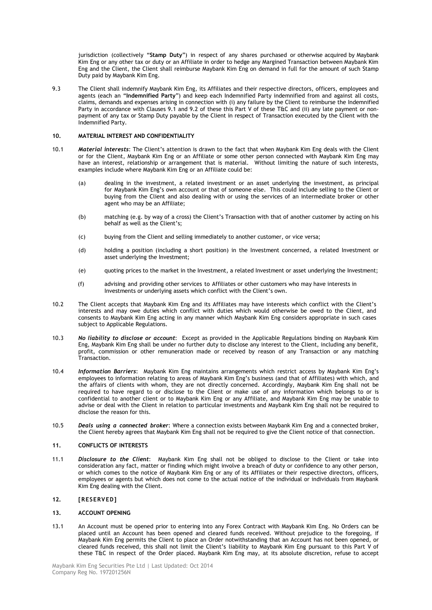jurisdiction (collectively "**Stamp Duty**") in respect of any shares purchased or otherwise acquired by Maybank Kim Eng or any other tax or duty or an Affiliate in order to hedge any Margined Transaction between Maybank Kim Eng and the Client, the Client shall reimburse Maybank Kim Eng on demand in full for the amount of such Stamp Duty paid by Maybank Kim Eng.

9.3 The Client shall indemnify Maybank Kim Eng, its Affiliates and their respective directors, officers, employees and agents (each an "**Indemnified Party**") and keep each Indemnified Party indemnified from and against all costs, claims, demands and expenses arising in connection with (i) any failure by the Client to reimburse the Indemnified Party in accordance with Clauses 9.1 and 9.2 of these this Part V of these T&C and (ii) any late payment or nonpayment of any tax or Stamp Duty payable by the Client in respect of Transaction executed by the Client with the Indemnified Party.

#### **10. MATERIAL INTEREST AND CONFIDENTIALITY**

- 10.1 *Material interests*: The Client"s attention is drawn to the fact that when Maybank Kim Eng deals with the Client or for the Client, Maybank Kim Eng or an Affiliate or some other person connected with Maybank Kim Eng may have an interest, relationship or arrangement that is material. Without limiting the nature of such interests, examples include where Maybank Kim Eng or an Affiliate could be:
	- (a) dealing in the investment, a related investment or an asset underlying the investment, as principal for Maybank Kim Eng"s own account or that of someone else. This could include selling to the Client or buying from the Client and also dealing with or using the services of an intermediate broker or other agent who may be an Affiliate;
	- (b) matching (e.g. by way of a cross) the Client"s Transaction with that of another customer by acting on his behalf as well as the Client's:
	- (c) buying from the Client and selling immediately to another customer, or vice versa;
	- (d) holding a position (including a short position) in the Investment concerned, a related Investment or asset underlying the Investment;
	- (e) quoting prices to the market in the Investment, a related Investment or asset underlying the Investment;
	- (f) advising and providing other services to Affiliates or other customers who may have interests in Investments or underlying assets which conflict with the Client"s own.
- 10.2 The Client accepts that Maybank Kim Eng and its Affiliates may have interests which conflict with the Client"s interests and may owe duties which conflict with duties which would otherwise be owed to the Client, and consents to Maybank Kim Eng acting in any manner which Maybank Kim Eng considers appropriate in such cases subject to Applicable Regulations.
- 10.3 *No liability to disclose or account*: Except as provided in the Applicable Regulations binding on Maybank Kim Eng, Maybank Kim Eng shall be under no further duty to disclose any interest to the Client, including any benefit, profit, commission or other remuneration made or received by reason of any Transaction or any matching **Transaction**
- 10.4 *Information Barriers*: Maybank Kim Eng maintains arrangements which restrict access by Maybank Kim Eng"s employees to information relating to areas of Maybank Kim Eng"s business (and that of Affiliates) with which, and the affairs of clients with whom, they are not directly concerned. Accordingly, Maybank Kim Eng shall not be required to have regard to or disclose to the Client or make use of any information which belongs to or is confidential to another client or to Maybank Kim Eng or any Affiliate, and Maybank Kim Eng may be unable to advise or deal with the Client in relation to particular investments and Maybank Kim Eng shall not be required to disclose the reason for this.
- 10.5 *Deals using a connected broker*: Where a connection exists between Maybank Kim Eng and a connected broker, the Client hereby agrees that Maybank Kim Eng shall not be required to give the Client notice of that connection.

#### **11. CONFLICTS OF INTERESTS**

11.1 *Disclosure to the Client*: Maybank Kim Eng shall not be obliged to disclose to the Client or take into consideration any fact, matter or finding which might involve a breach of duty or confidence to any other person, or which comes to the notice of Maybank Kim Eng or any of its Affiliates or their respective directors, officers, employees or agents but which does not come to the actual notice of the individual or individuals from Maybank Kim Eng dealing with the Client.

## **12. [RESERVED]**

#### **13. ACCOUNT OPENING**

13.1 An Account must be opened prior to entering into any Forex Contract with Maybank Kim Eng. No Orders can be placed until an Account has been opened and cleared funds received. Without prejudice to the foregoing, if Maybank Kim Eng permits the Client to place an Order notwithstanding that an Account has not been opened, or cleared funds received, this shall not limit the Client"s liability to Maybank Kim Eng pursuant to this Part V of these T&C in respect of the Order placed. Maybank Kim Eng may, at its absolute discretion, refuse to accept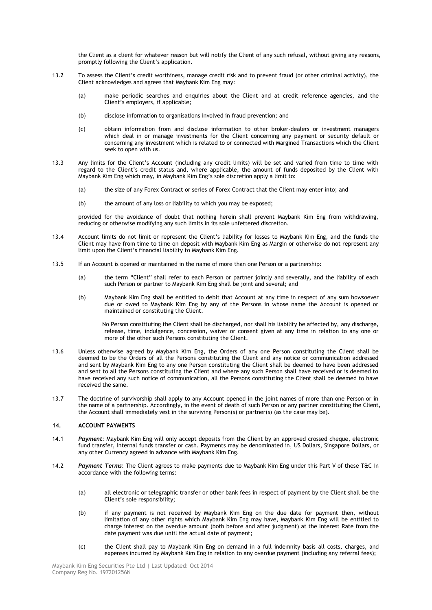the Client as a client for whatever reason but will notify the Client of any such refusal, without giving any reasons, promptly following the Client's application.

- 13.2 To assess the Client"s credit worthiness, manage credit risk and to prevent fraud (or other criminal activity), the Client acknowledges and agrees that Maybank Kim Eng may:
	- (a) make periodic searches and enquiries about the Client and at credit reference agencies, and the Client"s employers, if applicable;
	- (b) disclose information to organisations involved in fraud prevention; and
	- (c) obtain information from and disclose information to other broker-dealers or investment managers which deal in or manage investments for the Client concerning any payment or security default or concerning any investment which is related to or connected with Margined Transactions which the Client seek to open with us.
- 13.3 Any limits for the Client"s Account (including any credit limits) will be set and varied from time to time with regard to the Client"s credit status and, where applicable, the amount of funds deposited by the Client with Maybank Kim Eng which may, in Maybank Kim Eng"s sole discretion apply a limit to:
	- (a) the size of any Forex Contract or series of Forex Contract that the Client may enter into; and
	- (b) the amount of any loss or liability to which you may be exposed;

provided for the avoidance of doubt that nothing herein shall prevent Maybank Kim Eng from withdrawing, reducing or otherwise modifying any such limits in its sole unfettered discretion.

- 13.4 Account limits do not limit or represent the Client"s liability for losses to Maybank Kim Eng, and the funds the Client may have from time to time on deposit with Maybank Kim Eng as Margin or otherwise do not represent any limit upon the Client"s financial liability to Maybank Kim Eng.
- 13.5 If an Account is opened or maintained in the name of more than one Person or a partnership:
	- (a) the term "Client" shall refer to each Person or partner jointly and severally, and the liability of each such Person or partner to Maybank Kim Eng shall be joint and several; and
	- (b) Maybank Kim Eng shall be entitled to debit that Account at any time in respect of any sum howsoever due or owed to Maybank Kim Eng by any of the Persons in whose name the Account is opened or maintained or constituting the Client.

No Person constituting the Client shall be discharged, nor shall his liability be affected by, any discharge, release, time, indulgence, concession, waiver or consent given at any time in relation to any one or more of the other such Persons constituting the Client.

- 13.6 Unless otherwise agreed by Maybank Kim Eng, the Orders of any one Person constituting the Client shall be deemed to be the Orders of all the Persons constituting the Client and any notice or communication addressed and sent by Maybank Kim Eng to any one Person constituting the Client shall be deemed to have been addressed and sent to all the Persons constituting the Client and where any such Person shall have received or is deemed to have received any such notice of communication, all the Persons constituting the Client shall be deemed to have received the same.
- 13.7 The doctrine of survivorship shall apply to any Account opened in the joint names of more than one Person or in the name of a partnership. Accordingly, in the event of death of such Person or any partner constituting the Client, the Account shall immediately vest in the surviving Person(s) or partner(s) (as the case may be).

#### **14. ACCOUNT PAYMENTS**

- 14.1 *Payment*: Maybank Kim Eng will only accept deposits from the Client by an approved crossed cheque, electronic fund transfer, internal funds transfer or cash. Payments may be denominated in, US Dollars, Singapore Dollars, or any other Currency agreed in advance with Maybank Kim Eng.
- 14.2 *Payment Terms*: The Client agrees to make payments due to Maybank Kim Eng under this Part V of these T&C in accordance with the following terms:
	- (a) all electronic or telegraphic transfer or other bank fees in respect of payment by the Client shall be the Client"s sole responsibility;
	- (b) if any payment is not received by Maybank Kim Eng on the due date for payment then, without limitation of any other rights which Maybank Kim Eng may have, Maybank Kim Eng will be entitled to charge interest on the overdue amount (both before and after judgment) at the Interest Rate from the date payment was due until the actual date of payment;
	- (c) the Client shall pay to Maybank Kim Eng on demand in a full indemnity basis all costs, charges, and expenses incurred by Maybank Kim Eng in relation to any overdue payment (including any referral fees);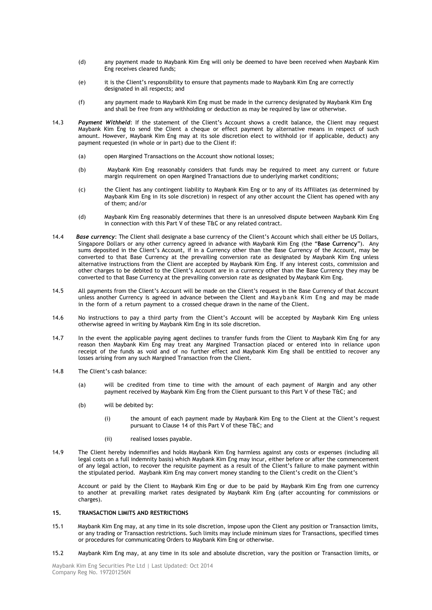- (d) any payment made to Maybank Kim Eng will only be deemed to have been received when Maybank Kim Eng receives cleared funds;
- (e) it is the Client"s responsibility to ensure that payments made to Maybank Kim Eng are correctly designated in all respects; and
- (f) any payment made to Maybank Kim Eng must be made in the currency designated by Maybank Kim Eng and shall be free from any withholding or deduction as may be required by law or otherwise.
- 14.3 *Payment Withheld*: If the statement of the Client"s Account shows a credit balance, the Client may request Maybank Kim Eng to send the Client a cheque or effect payment by alternative means in respect of such amount. However, Maybank Kim Eng may at its sole discretion elect to withhold (or if applicable, deduct) any payment requested (in whole or in part) due to the Client if:
	- (a) open Margined Transactions on the Account show notional losses;
	- (b) Maybank Kim Eng reasonably considers that funds may be required to meet any current or future margin requirement on open Margined Transactions due to underlying market conditions;
	- (c) the Client has any contingent liability to Maybank Kim Eng or to any of its Affiliates (as determined by Maybank Kim Eng in its sole discretion) in respect of any other account the Client has opened with any of them; and/or
	- (d) Maybank Kim Eng reasonably determines that there is an unresolved dispute between Maybank Kim Eng in connection with this Part V of these T&C or any related contract.
- 14.4 *Base currency*: The Client shall designate a base currency of the Client"s Account which shall either be US Dollars, Singapore Dollars or any other currency agreed in advance with Maybank Kim Eng (the "**Base Currency**"). Any sums deposited in the Client"s Account, if in a Currency other than the Base Currency of the Account, may be converted to that Base Currency at the prevailing conversion rate as designated by Maybank Kim Eng unless alternative instructions from the Client are accepted by Maybank Kim Eng. If any interest costs, commission and other charges to be debited to the Client"s Account are in a currency other than the Base Currency they may be converted to that Base Currency at the prevailing conversion rate as designated by Maybank Kim Eng.
- 14.5 All payments from the Client"s Account will be made on the Client"s request in the Base Currency of that Account unless another Currency is agreed in advance between the Client and Maybank Kim Eng and may be made in the form of a return payment to a crossed cheque drawn in the name of the Client.
- 14.6 No instructions to pay a third party from the Client"s Account will be accepted by Maybank Kim Eng unless otherwise agreed in writing by Maybank Kim Eng in its sole discretion.
- 14.7 In the event the applicable paying agent declines to transfer funds from the Client to Maybank Kim Eng for any reason then Maybank Kim Eng may treat any Margined Transaction placed or entered into in reliance upon receipt of the funds as void and of no further effect and Maybank Kim Eng shall be entitled to recover any losses arising from any such Margined Transaction from the Client.
- 14.8 The Client"s cash balance:
	- (a) will be credited from time to time with the amount of each payment of Margin and any other payment received by Maybank Kim Eng from the Client pursuant to this Part V of these T&C; and
	- (b) will be debited by:
		- (i) the amount of each payment made by Maybank Kim Eng to the Client at the Client"s request pursuant to Clause 14 of this Part V of these T&C; and
		- (ii) realised losses payable.
- 14.9 The Client hereby indemnifies and holds Maybank Kim Eng harmless against any costs or expenses (including all legal costs on a full indemnity basis) which Maybank Kim Eng may incur, either before or after the commencement of any legal action, to recover the requisite payment as a result of the Client"s failure to make payment within the stipulated period. Maybank Kim Eng may convert money standing to the Client"s credit on the Client"s

Account or paid by the Client to Maybank Kim Eng or due to be paid by Maybank Kim Eng from one currency to another at prevailing market rates designated by Maybank Kim Eng (after accounting for commissions or charges).

## **15. TRANSACTION LIMITS AND RESTRICTIONS**

- 15.1 Maybank Kim Eng may, at any time in its sole discretion, impose upon the Client any position or Transaction limits, or any trading or Transaction restrictions. Such limits may include minimum sizes for Transactions, specified times or procedures for communicating Orders to Maybank Kim Eng or otherwise.
- 15.2 Maybank Kim Eng may, at any time in its sole and absolute discretion, vary the position or Transaction limits, or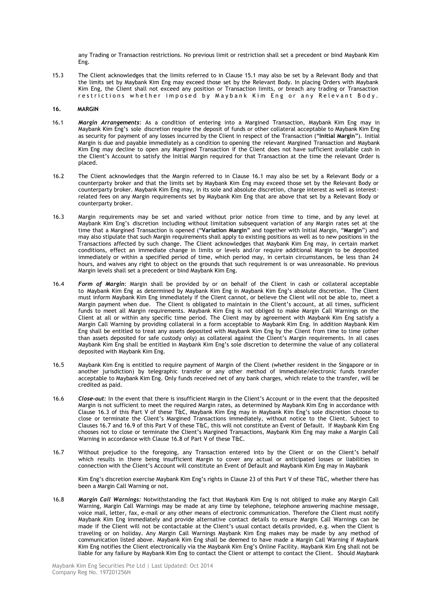any Trading or Transaction restrictions. No previous limit or restriction shall set a precedent or bind Maybank Kim Eng.

15.3 The Client acknowledges that the limits referred to in Clause 15.1 may also be set by a Relevant Body and that the limits set by Maybank Kim Eng may exceed those set by the Relevant Body. In placing Orders with Maybank Kim Eng, the Client shall not exceed any position or Transaction limits, or breach any trading or Transaction restrictions whether imposed by Maybank Kim Eng or any Relevant Body.

#### **16. MARGIN**

- 16.1 *Margin Arrangements*: As a condition of entering into a Margined Transaction, Maybank Kim Eng may in Maybank Kim Eng"s sole discretion require the deposit of funds or other collateral acceptable to Maybank Kim Eng as security for payment of any losses incurred by the Client in respect of the Transaction ("**Initial Margin**"). Initial Margin is due and payable immediately as a condition to opening the relevant Margined Transaction and Maybank Kim Eng may decline to open any Margined Transaction if the Client does not have sufficient available cash in the Client"s Account to satisfy the Initial Margin required for that Transaction at the time the relevant Order is placed.
- 16.2 The Client acknowledges that the Margin referred to in Clause 16.1 may also be set by a Relevant Body or a counterparty broker and that the limits set by Maybank Kim Eng may exceed those set by the Relevant Body or counterparty broker. Maybank Kim Eng may, in its sole and absolute discretion, charge interest as well as interestrelated fees on any Margin requirements set by Maybank Kim Eng that are above that set by a Relevant Body or counterparty broker.
- 16.3 Margin requirements may be set and varied without prior notice from time to time, and by any level at Maybank Kim Eng"s discretion including without limitation subsequent variation of any Margin rates set at the time that a Margined Transaction is opened ("**Variation Margin**" and together with Initial Margin, "**Margin**") and may also stipulate that such Margin requirements shall apply to existing positions as well as to new positions in the Transactions affected by such change. The Client acknowledges that Maybank Kim Eng may, in certain market conditions, effect an immediate change in limits or levels and/or require additional Margin to be deposited immediately or within a specified period of time, which period may, in certain circumstances, be less than 24 hours, and waives any right to object on the grounds that such requirement is or was unreasonable. No previous Margin levels shall set a precedent or bind Maybank Kim Eng.
- 16.4 *Form of Margin*: Margin shall be provided by or on behalf of the Client in cash or collateral acceptable to Maybank Kim Eng as determined by Maybank Kim Eng in Maybank Kim Eng"s absolute discretion. The Client must inform Maybank Kim Eng immediately if the Client cannot, or believe the Client will not be able to, meet a Margin payment when due. The Client is obligated to maintain in the Client"s account, at all times, sufficient funds to meet all Margin requirements. Maybank Kim Eng is not obliged to make Margin Call Warnings on the Client at all or within any specific time period. The Client may by agreement with Maybank Kim Eng satisfy a Margin Call Warning by providing collateral in a form acceptable to Maybank Kim Eng. In addition Maybank Kim Eng shall be entitled to treat any assets deposited with Maybank Kim Eng by the Client from time to time (other than assets deposited for safe custody only) as collateral against the Client"s Margin requirements. In all cases Maybank Kim Eng shall be entitled in Maybank Kim Eng"s sole discretion to determine the value of any collateral deposited with Maybank Kim Eng.
- 16.5 Maybank Kim Eng is entitled to require payment of Margin of the Client (whether resident in the Singapore or in another jurisdiction) by telegraphic transfer or any other method of immediate/electronic funds transfer acceptable to Maybank Kim Eng. Only funds received net of any bank charges, which relate to the transfer, will be credited as paid.
- 16.6 *Close-out:* In the event that there is insufficient Margin in the Client"s Account or in the event that the deposited Margin is not sufficient to meet the required Margin rates, as determined by Maybank Kim Eng in accordance with Clause 16.3 of this Part V of these T&C, Maybank Kim Eng may in Maybank Kim Eng"s sole discretion choose to close or terminate the Client"s Margined Transactions immediately, without notice to the Client. Subject to Clauses 16.7 and 16.9 of this Part V of these T&C, this will not constitute an Event of Default. If Maybank Kim Eng chooses not to close or terminate the Client"s Margined Transactions, Maybank Kim Eng may make a Margin Call Warning in accordance with Clause 16.8 of Part V of these T&C.
- 16.7 Without prejudice to the foregoing, any Transaction entered into by the Client or on the Client"s behalf which results in there being insufficient Margin to cover any actual or anticipated losses or liabilities in connection with the Client"s Account will constitute an Event of Default and Maybank Kim Eng may in Maybank

Kim Eng"s discretion exercise Maybank Kim Eng"s rights in Clause 23 of this Part V of these T&C, whether there has been a Margin Call Warning or not.

16.8 *Margin Call Warnings:* Notwithstanding the fact that Maybank Kim Eng is not obliged to make any Margin Call Warning, Margin Call Warnings may be made at any time by telephone, telephone answering machine message, voice mail, letter, fax, e-mail or any other means of electronic communication. Therefore the Client must notify Maybank Kim Eng immediately and provide alternative contact details to ensure Margin Call Warnings can be made if the Client will not be contactable at the Client"s usual contact details provided, e.g. when the Client is traveling or on holiday. Any Margin Call Warnings Maybank Kim Eng makes may be made by any method of communication listed above. Maybank Kim Eng shall be deemed to have made a Margin Call Warning if Maybank Kim Eng notifies the Client electronically via the Maybank Kim Eng"s Online Facility. Maybank Kim Eng shall not be liable for any failure by Maybank Kim Eng to contact the Client or attempt to contact the Client. Should Maybank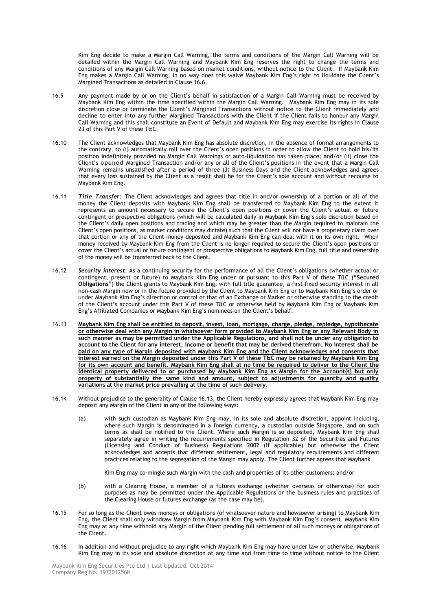Kim Eng decide to make a Margin Call Warning, the terms and conditions of the Margin Call Warning will be detailed within the Margin Call Warning and Maybank Kim Eng reserves the right to change the terms and conditions of any Margin Call Warning based on market conditions, without notice to the Client. If Maybank Kim Eng makes a Margin Call Warning, in no way does this waive Maybank Kim Eng"s right to liquidate the Client"s Margined Transactions as detailed in Clause 16.6.

- 16.9 Any payment made by or on the Client"s behalf in satisfaction of a Margin Call Warning must be received by Maybank Kim Eng within the time specified within the Margin Call Warning. Maybank Kim Eng may in its sole discretion close or terminate the Client"s Margined Transactions without notice to the Client immediately and decline to enter into any further Margined Transactions with the Client if the Client fails to honour any Margin Call Warning and this shall constitute an Event of Default and Maybank Kim Eng may exercise its rights in Clause 23 of this Part V of these T&C.
- 16.10 The Client acknowledges that Maybank Kim Eng has absolute discretion, in the absence of formal arrangements to the contrary, to (i) automatically roll over the Client"s open positions in order to allow the Client to hold his/its position indefinitely provided no Margin Call Warnings or auto-liquidation has taken place; and/or (ii) close the Client"s opened Margined Transaction and/or any or all of the Client"s positions in the event that a Margin Call Warning remains unsatisfied after a period of three (3) Business Days and the Client acknowledges and agrees that every loss sustained by the Client as a result shall be for the Client's sole account and without recourse to Maybank Kim Eng.
- 16.11 *Title Transfer:* The Client acknowledges and agrees that title in and/or ownership of a portion or all of the money the Client deposits with Maybank Kim Eng shall be transferred to Maybank Kim Eng to the extent it represents an amount necessary to secure the Client"s open positions or cover the Client"s actual or future contingent or prospective obligations (which will be calculated daily in Maybank Kim Eng"s sole discretion based on the Client"s daily open positions and trading and which may be greater than the Margin required to maintain the Client"s open positions, as market conditions may dictate) such that the Client will not have a proprietary claim over that portion or any of the Client money deposited and Maybank Kim Eng can deal with it on its own right. When money received by Maybank Kim Eng from the Client is no longer required to secure the Client"s open positions or cover the Client"s actual or future contingent or prospective obligations to Maybank Kim Eng, full title and ownership of the money will be transferred back to the Client.
- 16.12 **Security interest**: As a continuing security for the performance of all the Client's obligations (whether actual or contingent, present or future) to Maybank Kim Eng under or pursuant to this Part V of these T&C ("**Secured Obligations**") the Client grants to Maybank Kim Eng, with full title guarantee, a first fixed security interest in all non-cash Margin now or in the future provided by the Client to Maybank Kim Eng or to Maybank Kim Eng"s order or under Maybank Kim Eng"s direction or control or that of an Exchange or Market or otherwise standing to the credit of the Client's account under this Part V of these T&C or otherwise held by Maybank Kim Eng or Maybank Kim Eng's Affiliated Companies or Maybank Kim Eng's nominees on the Client's behalf.
- 16.13 **Maybank Kim Eng shall be entitled to deposit, invest, loan, mortgage, charge, pledge, repledge, hypothecate or otherwise deal with any Margin in whatsoever form provided to Maybank Kim Eng or any Relevant Body in such manner as may be permitted under the Applicable Regulations, and shall not be under any obligation to account to the Client for any interest, income or benefit that may be derived therefrom. No interest shall be paid on any type of Margin deposited with Maybank Kim Eng and the Client acknowledges and consents that interest earned on the Margin deposited under this Part V of these T&C may be retained by Maybank Kim Eng for its own account and benefit. Maybank Kim Eng shall at no time be required to deliver to the Client the identical property delivered to or purchased by Maybank Kim Eng as Margin for the Account(s) but only property of substantially the same kind and amount, subject to adjustments for quantity and quality variations at the market price prevailing at the time of such delivery.**
- 16.14 Without prejudice to the generality of Clause 16.13, the Client hereby expressly agrees that Maybank Kim Eng may deposit any Margin of the Client in any of the following ways:
	- (a) with such custodian as Maybank Kim Eng may, in its sole and absolute discretion, appoint including, where such Margin is denominated in a foreign currency, a custodian outside Singapore, and on such terms as shall be notified to the Client. Where such Margin is so deposited, Maybank Kim Eng shall separately agree in writing the requirements specified in Regulation 32 of the Securities and Futures (Licensing and Conduct of Business) Regulations 2002 (if applicable) but otherwise the Client acknowledges and accepts that different settlement, legal and regulatory requirements and different practices relating to the segregation of the Margin may apply. The Client further agrees that Maybank

Kim Eng may co-mingle such Margin with the cash and properties of its other customers; and/or

- (b) with a Clearing House, a member of a futures exchange (whether overseas or otherwise) for such purposes as may be permitted under the Applicable Regulations or the business rules and practices of the Clearing House or futures exchange (as the case may be).
- 16.15 For so long as the Client owes moneys or obligations (of whatsoever nature and howsoever arising) to Maybank Kim Eng, the Client shall only withdraw Margin from Maybank Kim Eng with Maybank Kim Eng"s consent. Maybank Kim Eng may at any time withhold any Margin of the Client pending full settlement of all such moneys or obligations of the Client.
- 16.16 In addition and without prejudice to any right which Maybank Kim Eng may have under law or otherwise, Maybank Kim Eng may in its sole and absolute discretion at any time and from time to time without notice to the Client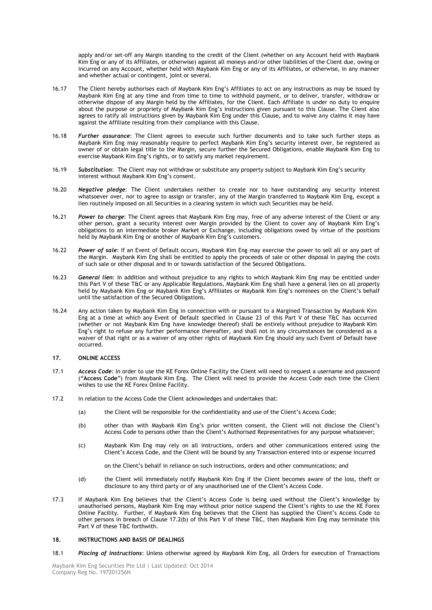apply and/or set-off any Margin standing to the credit of the Client (whether on any Account held with Maybank Kim Eng or any of its Affiliates, or otherwise) against all moneys and/or other liabilities of the Client due, owing or incurred on any Account, whether held with Maybank Kim Eng or any of its Affiliates, or otherwise, in any manner and whether actual or contingent, joint or several.

- 16.17 The Client hereby authorises each of Maybank Kim Eng"s Affiliates to act on any instructions as may be issued by Maybank Kim Eng at any time and from time to time to withhold payment, or to deliver, transfer, withdraw or otherwise dispose of any Margin held by the Affiliates, for the Client. Each Affiliate is under no duty to enquire about the purpose or propriety of Maybank Kim Eng"s instructions given pursuant to this Clause. The Client also agrees to ratify all instructions given by Maybank Kim Eng under this Clause, and to waive any claims it may have against the Affiliate resulting from their compliance with this Clause.
- 16.18 *Further assurance*: The Client agrees to execute such further documents and to take such further steps as Maybank Kim Eng may reasonably require to perfect Maybank Kim Eng"s security interest over, be registered as owner of or obtain legal title to the Margin, secure further the Secured Obligations, enable Maybank Kim Eng to exercise Maybank Kim Eng"s rights, or to satisfy any market requirement.
- 16.19 *Substitution*: The Client may not withdraw or substitute any property subject to Maybank Kim Eng"s security interest without Maybank Kim Eng's consent.
- 16.20 *Negative pledge*: The Client undertakes neither to create nor to have outstanding any security interest whatsoever over, nor to agree to assign or transfer, any of the Margin transferred to Maybank Kim Eng, except a lien routinely imposed on all Securities in a clearing system in which such Securities may be held.
- 16.21 *Power to charge*: The Client agrees that Maybank Kim Eng may, free of any adverse interest of the Client or any other person, grant a security interest over Margin provided by the Client to cover any of Maybank Kim Eng"s obligations to an intermediate broker Market or Exchange, including obligations owed by virtue of the positions held by Maybank Kim Eng or another of Maybank Kim Eng's customers.
- 16.22 *Power of sale*: If an Event of Default occurs, Maybank Kim Eng may exercise the power to sell all or any part of the Margin. Maybank Kim Eng shall be entitled to apply the proceeds of sale or other disposal in paying the costs of such sale or other disposal and in or towards satisfaction of the Secured Obligations.
- 16.23 *General lien*: In addition and without prejudice to any rights to which Maybank Kim Eng may be entitled under this Part V of these T&C or any Applicable Regulations, Maybank Kim Eng shall have a general lien on all property held by Maybank Kim Eng or Maybank Kim Eng's Affiliates or Maybank Kim Eng's nominees on the Client's behalf until the satisfaction of the Secured Obligations.
- 16.24 Any action taken by Maybank Kim Eng in connection with or pursuant to a Margined Transaction by Maybank Kim Eng at a time at which any Event of Default specified in Clause 23 of this Part V of these T&C has occurred (whether or not Maybank Kim Eng have knowledge thereof) shall be entirely without prejudice to Maybank Kim Eng"s right to refuse any further performance thereafter, and shall not in any circumstances be considered as a waiver of that right or as a waiver of any other rights of Maybank Kim Eng should any such Event of Default have occurred.

#### **17. ONLINE ACCESS**

- 17.1 *Access Code*: In order to use the KE Forex Online Facility the Client will need to request a username and password ("**Access Code**") from Maybank Kim Eng. The Client will need to provide the Access Code each time the Client wishes to use the KE Forex Online Facility.
- 17.2 In relation to the Access Code the Client acknowledges and undertakes that:
	- (a) the Client will be responsible for the confidentiality and use of the Client"s Access Code;
	- (b) other than with Maybank Kim Eng"s prior written consent, the Client will not disclose the Client"s Access Code to persons other than the Client's Authorised Representatives for any purpose whatsoever;
	- (c) Maybank Kim Eng may rely on all instructions, orders and other communications entered using the Client"s Access Code, and the Client will be bound by any Transaction entered into or expense incurred

on the Client"s behalf in reliance on such instructions, orders and other communications; and

- (d) the Client will immediately notify Maybank Kim Eng if the Client becomes aware of the loss, theft or disclosure to any third party or of any unauthorised use of the Client"s Access Code.
- 17.3 If Maybank Kim Eng believes that the Client"s Access Code is being used without the Client"s knowledge by unauthorised persons, Maybank Kim Eng may without prior notice suspend the Client's rights to use the KE Forex Online Facility. Further, if Maybank Kim Eng believes that the Client has supplied the Client"s Access Code to other persons in breach of Clause 17.2(b) of this Part V of these T&C, then Maybank Kim Eng may terminate this Part V of these T&C forthwith.

#### **18. INSTRUCTIONS AND BASIS OF DEALINGS**

18.1 *Placing of instructions*: Unless otherwise agreed by Maybank Kim Eng, all Orders for execution of Transactions

Maybank Kim Eng Securities Pte Ltd | Last Updated: Oct 2014 Company Reg No. 197201256N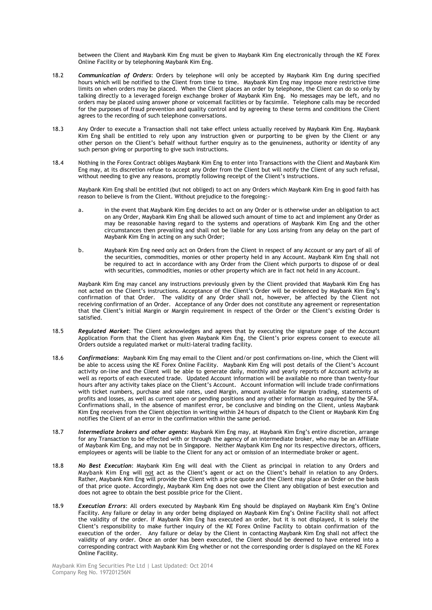between the Client and Maybank Kim Eng must be given to Maybank Kim Eng electronically through the KE Forex Online Facility or by telephoning Maybank Kim Eng.

- 18.2 *Communication of Orders*: Orders by telephone will only be accepted by Maybank Kim Eng during specified hours which will be notified to the Client from time to time. Maybank Kim Eng may impose more restrictive time limits on when orders may be placed. When the Client places an order by telephone, the Client can do so only by talking directly to a leveraged foreign exchange broker of Maybank Kim Eng. No messages may be left, and no orders may be placed using answer phone or voicemail facilities or by facsimile. Telephone calls may be recorded for the purposes of fraud prevention and quality control and by agreeing to these terms and conditions the Client agrees to the recording of such telephone conversations.
- 18.3 Any Order to execute a Transaction shall not take effect unless actually received by Maybank Kim Eng. Maybank Kim Eng shall be entitled to rely upon any instruction given or purporting to be given by the Client or any other person on the Client"s behalf without further enquiry as to the genuineness, authority or identity of any such person giving or purporting to give such instructions.
- 18.4 Nothing in the Forex Contract obliges Maybank Kim Eng to enter into Transactions with the Client and Maybank Kim Eng may, at its discretion refuse to accept any Order from the Client but will notify the Client of any such refusal, without needing to give any reasons, promptly following receipt of the Client's instructions.

Maybank Kim Eng shall be entitled (but not obliged) to act on any Orders which Maybank Kim Eng in good faith has reason to believe is from the Client. Without prejudice to the foregoing:-

- a. in the event that Maybank Kim Eng decides to act on any Order or is otherwise under an obligation to act on any Order, Maybank Kim Eng shall be allowed such amount of time to act and implement any Order as may be reasonable having regard to the systems and operations of Maybank Kim Eng and the other circumstances then prevailing and shall not be liable for any Loss arising from any delay on the part of Maybank Kim Eng in acting on any such Order;
- b. Maybank Kim Eng need only act on Orders from the Client in respect of any Account or any part of all of the securities, commodities, monies or other property held in any Account. Maybank Kim Eng shall not be required to act in accordance with any Order from the Client which purports to dispose of or deal with securities, commodities, monies or other property which are in fact not held in any Account.

Maybank Kim Eng may cancel any instructions previously given by the Client provided that Maybank Kim Eng has not acted on the Client"s instructions. Acceptance of the Client"s Order will be evidenced by Maybank Kim Eng"s confirmation of that Order. The validity of any Order shall not, however, be affected by the Client not receiving confirmation of an Order. Acceptance of any Order does not constitute any agreement or representation that the Client"s initial Margin or Margin requirement in respect of the Order or the Client"s existing Order is satisfied.

- 18.5 *Regulated Market*: The Client acknowledges and agrees that by executing the signature page of the Account Application Form that the Client has given Maybank Kim Eng, the Client"s prior express consent to execute all Orders outside a regulated market or multi-lateral trading facility.
- 18.6 *Confirmations*: Maybank Kim Eng may email to the Client and/or post confirmations on-line, which the Client will be able to access using the KE Forex Online Facility. Maybank Kim Eng will post details of the Client"s Account activity on-line and the Client will be able to generate daily, monthly and yearly reports of Account activity as well as reports of each executed trade. Updated Account information will be available no more than twenty-four hours after any activity takes place on the Client"s Account. Account information will include trade confirmations with ticket numbers, purchase and sale rates, used Margin, amount available for Margin trading, statements of profits and losses, as well as current open or pending positions and any other information as required by the SFA. Confirmations shall, in the absence of manifest error, be conclusive and binding on the Client, unless Maybank Kim Eng receives from the Client objection in writing within 24 hours of dispatch to the Client or Maybank Kim Eng notifies the Client of an error in the confirmation within the same period.
- 18.7 *Intermediate brokers and other agents*: Maybank Kim Eng may, at Maybank Kim Eng"s entire discretion, arrange for any Transaction to be effected with or through the agency of an intermediate broker, who may be an Affiliate of Maybank Kim Eng, and may not be in Singapore. Neither Maybank Kim Eng nor its respective directors, officers, employees or agents will be liable to the Client for any act or omission of an intermediate broker or agent.
- 18.8 *No Best Execution*: Maybank Kim Eng will deal with the Client as principal in relation to any Orders and Maybank Kim Eng will not act as the Client"s agent or act on the Client"s behalf in relation to any Orders. Rather, Maybank Kim Eng will provide the Client with a price quote and the Client may place an Order on the basis of that price quote. Accordingly, Maybank Kim Eng does not owe the Client any obligation of best execution and does not agree to obtain the best possible price for the Client.
- 18.9 *Execution Errors*: All orders executed by Maybank Kim Eng should be displayed on Maybank Kim Eng"s Online Facility. Any failure or delay in any order being displayed on Maybank Kim Eng"s Online Facility shall not affect the validity of the order. If Maybank Kim Eng has executed an order, but it is not displayed, it is solely the Client"s responsibility to make further inquiry of the KE Forex Online Facility to obtain confirmation of the execution of the order. Any failure or delay by the Client in contacting Maybank Kim Eng shall not affect the validity of any order. Once an order has been executed, the Client should be deemed to have entered into a corresponding contract with Maybank Kim Eng whether or not the corresponding order is displayed on the KE Forex Online Facility.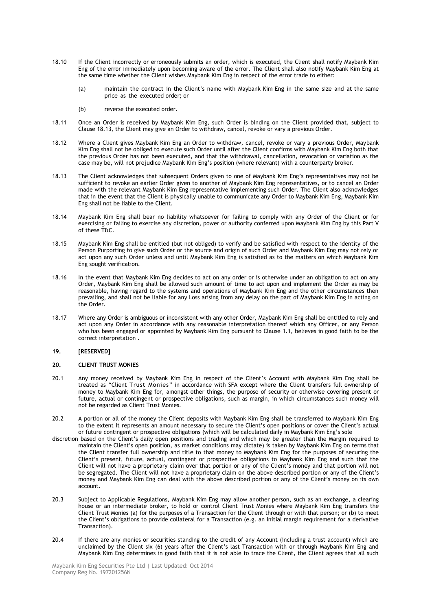- 18.10 If the Client incorrectly or erroneously submits an order, which is executed, the Client shall notify Maybank Kim Eng of the error immediately upon becoming aware of the error. The Client shall also notify Maybank Kim Eng at the same time whether the Client wishes Maybank Kim Eng in respect of the error trade to either:
	- (a) maintain the contract in the Client"s name with Maybank Kim Eng in the same size and at the same price as the executed order; or
	- (b) reverse the executed order.
- 18.11 Once an Order is received by Maybank Kim Eng, such Order is binding on the Client provided that, subject to Clause 18.13, the Client may give an Order to withdraw, cancel, revoke or vary a previous Order.
- 18.12 Where a Client gives Maybank Kim Eng an Order to withdraw, cancel, revoke or vary a previous Order, Maybank Kim Eng shall not be obliged to execute such Order until after the Client confirms with Maybank Kim Eng both that the previous Order has not been executed, and that the withdrawal, cancellation, revocation or variation as the case may be, will not prejudice Maybank Kim Eng"s position (where relevant) with a counterparty broker.
- 18.13 The Client acknowledges that subsequent Orders given to one of Maybank Kim Eng"s representatives may not be sufficient to revoke an earlier Order given to another of Maybank Kim Eng representatives, or to cancel an Order made with the relevant Maybank Kim Eng representative implementing such Order. The Client also acknowledges that in the event that the Client is physically unable to communicate any Order to Maybank Kim Eng, Maybank Kim Eng shall not be liable to the Client.
- 18.14 Maybank Kim Eng shall bear no liability whatsoever for failing to comply with any Order of the Client or for exercising or failing to exercise any discretion, power or authority conferred upon Maybank Kim Eng by this Part V of these T&C.
- 18.15 Maybank Kim Eng shall be entitled (but not obliged) to verify and be satisfied with respect to the identity of the Person Purporting to give such Order or the source and origin of such Order and Maybank Kim Eng may not rely or act upon any such Order unless and until Maybank Kim Eng is satisfied as to the matters on which Maybank Kim Eng sought verification.
- 18.16 In the event that Maybank Kim Eng decides to act on any order or is otherwise under an obligation to act on any Order, Maybank Kim Eng shall be allowed such amount of time to act upon and implement the Order as may be reasonable, having regard to the systems and operations of Maybank Kim Eng and the other circumstances then prevailing, and shall not be liable for any Loss arising from any delay on the part of Maybank Kim Eng in acting on the Order.
- 18.17 Where any Order is ambiguous or inconsistent with any other Order, Maybank Kim Eng shall be entitled to rely and act upon any Order in accordance with any reasonable interpretation thereof which any Officer, or any Person who has been engaged or appointed by Maybank Kim Eng pursuant to Clause 1.1, believes in good faith to be the correct interpretation .

## **19. [RESERVED]**

## **20. CLIENT TRUST MONIES**

- 20.1 Any money received by Maybank Kim Eng in respect of the Client"s Account with Maybank Kim Eng shall be treated as "Client Trust Monies" in accordance with SFA except where the Client transfers full ownership of money to Maybank Kim Eng for, amongst other things, the purpose of security or otherwise covering present or future, actual or contingent or prospective obligations, such as margin, in which circumstances such money will not be regarded as Client Trust Monies.
- 20.2 A portion or all of the money the Client deposits with Maybank Kim Eng shall be transferred to Maybank Kim Eng to the extent it represents an amount necessary to secure the Client"s open positions or cover the Client"s actual or future contingent or prospective obligations (which will be calculated daily in Maybank Kim Eng's sole
- discretion based on the Client"s daily open positions and trading and which may be greater than the Margin required to maintain the Client"s open position, as market conditions may dictate) is taken by Maybank Kim Eng on terms that the Client transfer full ownership and title to that money to Maybank Kim Eng for the purposes of securing the Client"s present, future, actual, contingent or prospective obligations to Maybank Kim Eng and such that the Client will not have a proprietary claim over that portion or any of the Client"s money and that portion will not be segregated. The Client will not have a proprietary claim on the above described portion or any of the Client"s money and Maybank Kim Eng can deal with the above described portion or any of the Client's money on its own account.
- 20.3 Subject to Applicable Regulations, Maybank Kim Eng may allow another person, such as an exchange, a clearing house or an intermediate broker, to hold or control Client Trust Monies where Maybank Kim Eng transfers the Client Trust Monies (a) for the purposes of a Transaction for the Client through or with that person; or (b) to meet the Client"s obligations to provide collateral for a Transaction (e.g. an Initial margin requirement for a derivative Transaction).
- 20.4 If there are any monies or securities standing to the credit of any Account (including a trust account) which are unclaimed by the Client six (6) years after the Client"s last Transaction with or through Maybank Kim Eng and Maybank Kim Eng determines in good faith that it is not able to trace the Client, the Client agrees that all such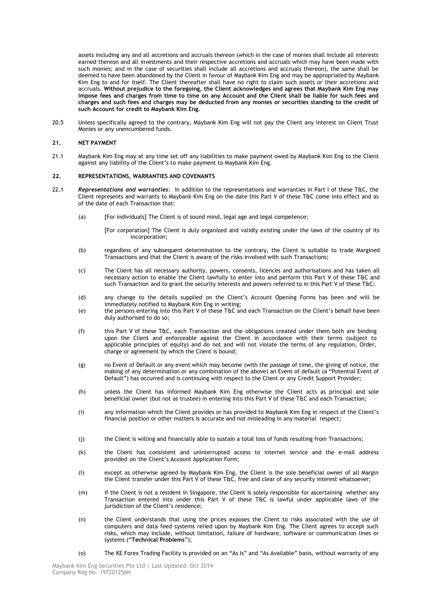assets including any and all accretions and accruals thereon (which in the case of monies shall include all interests earned thereon and all investments and their respective accretions and accruals which may have been made with such monies; and in the case of securities shall include all accretions and accruals thereon), the same shall be deemed to have been abandoned by the Client in favour of Maybank Kim Eng and may be appropriated by Maybank Kim Eng to and for itself. The Client thereafter shall have no right to claim such assets or their accretions and accruals. **Without prejudice to the foregoing, the Client acknowledges and agrees that Maybank Kim Eng may impose fees and charges from time to time on any Account and the Client shall be liable for such fees and charges and such fees and charges may be deducted from any monies or securities standing to the credit of such Account for credit to Maybank Kim Eng.**

20.5 Unless specifically agreed to the contrary, Maybank Kim Eng will not pay the Client any interest on Client Trust Monies or any unencumbered funds.

#### **21. NET PAYMENT**

21.1 Maybank Kim Eng may at any time set off any liabilities to make payment owed by Maybank Kim Eng to the Client against any liability of the Client's to make payment to Maybank Kim Eng.

#### **22. REPRESENTATIONS, WARRANTIES AND COVENANTS**

- 22.1 *Representations and warranties*: In addition to the representations and warranties in Part I of these T&C, the Client represents and warrants to Maybank Kim Eng on the date this Part V of these T&C come into effect and as of the date of each Transaction that:
	- (a) [For individuals] The Client is of sound mind, legal age and legal competence;

[For corporation] The Client is duly organized and validly existing under the laws of the country of its incorporation;

- (b) regardless of any subsequent determination to the contrary, the Client is suitable to trade Margined Transactions and that the Client is aware of the risks involved with such Transactions;
- (c) The Client has all necessary authority, powers, consents, licences and authorisations and has taken all necessary action to enable the Client lawfully to enter into and perform this Part V of these T&C and such Transaction and to grant the security interests and powers referred to in this Part V of these T&C;
- (d) any change to the details supplied on the Client"s Account Opening Forms has been and will be immediately notified to Maybank Kim Eng in writing;
- (e) the persons entering into this Part V of these T&C and each Transaction on the Client"s behalf have been duly authorised to do so;
- (f) this Part V of these T&C, each Transaction and the obligations created under them both are binding upon the Client and enforceable against the Client in accordance with their terms (subject to applicable principles of equity) and do not and will not violate the terms of any regulation, Order, charge or agreement by which the Client is bound;
- (g) no Event of Default or any event which may become (with the passage of time, the giving of notice, the making of any determination or any combination of the above) an Event of default (a "Potential Event of Default") has occurred and is continuing with respect to the Client or any Credit Support Provider;
- (h) unless the Client has informed Maybank Kim Eng otherwise the Client acts as principal and sole beneficial owner (but not as trustee) in entering into this Part V of these T&C and each Transaction;
- (i) any information which the Client provides or has provided to Maybank Kim Eng in respect of the Client"s financial position or other matters is accurate and not misleading in any material respect;
- (j) the Client is willing and financially able to sustain a total loss of funds resulting from Transactions;
- (k) the Client has consistent and uninterrupted access to internet service and the e-mail address provided on the Client"s Account Application Form;
- (l) except as otherwise agreed by Maybank Kim Eng, the Client is the sole beneficial owner of all Margin the Client transfer under this Part V of these T&C, free and clear of any security interest whatsoever;
- (m) if the Client is not a resident in Singapore, the Client is solely responsible for ascertaining whether any Transaction entered into under this Part V of these T&C is lawful under applicable laws of the jurisdiction of the Client's residence;
- (n) the Client understands that using the prices exposes the Client to risks associated with the use of computers and data feed systems relied upon by Maybank Kim Eng. The Client agrees to accept such risks, which may include, without limitation, failure of hardware, software or communication lines or systems ("**Technical Problems**");
- (o) The KE Forex Trading Facility is provided on an "As Is" and "As Available" basis, without warranty of any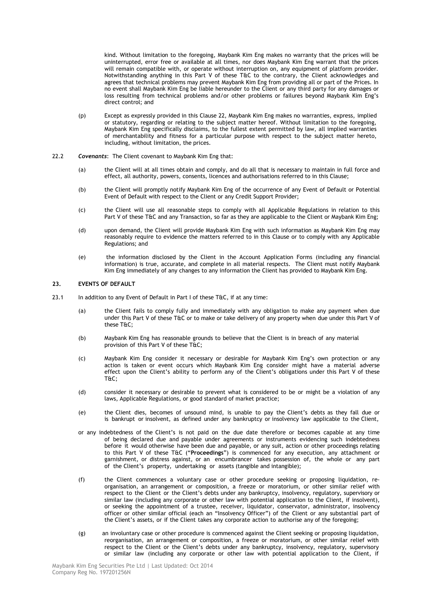kind. Without limitation to the foregoing, Maybank Kim Eng makes no warranty that the prices will be uninterrupted, error free or available at all times, nor does Maybank Kim Eng warrant that the prices will remain compatible with, or operate without interruption on, any equipment of platform provider. Notwithstanding anything in this Part V of these T&C to the contrary, the Client acknowledges and agrees that technical problems may prevent Maybank Kim Eng from providing all or part of the Prices. In no event shall Maybank Kim Eng be liable hereunder to the Client or any third party for any damages or loss resulting from technical problems and/or other problems or failures beyond Maybank Kim Eng"s direct control; and

- (p) Except as expressly provided in this Clause 22, Maybank Kim Eng makes no warranties, express, implied or statutory, regarding or relating to the subject matter hereof. Without limitation to the foregoing, Maybank Kim Eng specifically disclaims, to the fullest extent permitted by law, all implied warranties of merchantability and fitness for a particular purpose with respect to the subject matter hereto, including, without limitation, the prices.
- 22.2 *Covenants*: The Client covenant to Maybank Kim Eng that:
	- (a) the Client will at all times obtain and comply, and do all that is necessary to maintain in full force and effect, all authority, powers, consents, licences and authorisations referred to in this Clause;
	- (b) the Client will promptly notify Maybank Kim Eng of the occurrence of any Event of Default or Potential Event of Default with respect to the Client or any Credit Support Provider;
	- (c) the Client will use all reasonable steps to comply with all Applicable Regulations in relation to this Part V of these T&C and any Transaction, so far as they are applicable to the Client or Maybank Kim Eng;
	- (d) upon demand, the Client will provide Maybank Kim Eng with such information as Maybank Kim Eng may reasonably require to evidence the matters referred to in this Clause or to comply with any Applicable Regulations; and
	- (e) the information disclosed by the Client in the Account Application Forms (including any financial information) is true, accurate, and complete in all material respects. The Client must notify Maybank Kim Eng immediately of any changes to any information the Client has provided to Maybank Kim Eng.

#### **23. EVENTS OF DEFAULT**

- 23.1 In addition to any Event of Default in Part I of these T&C, if at any time:
	- (a) the Client fails to comply fully and immediately with any obligation to make any payment when due under this Part V of these T&C or to make or take delivery of any property when due under this Part V of these T&C;
	- (b) Maybank Kim Eng has reasonable grounds to believe that the Client is in breach of any material provision of this Part V of these T&C;
	- (c) Maybank Kim Eng consider it necessary or desirable for Maybank Kim Eng"s own protection or any action is taken or event occurs which Maybank Kim Eng consider might have a material adverse effect upon the Client's ability to perform any of the Client's obligations under this Part V of these T&C;
	- (d) consider it necessary or desirable to prevent what is considered to be or might be a violation of any laws, Applicable Regulations, or good standard of market practice;
	- (e) the Client dies, becomes of unsound mind, is unable to pay the Client"s debts as they fall due or is bankrupt or insolvent, as defined under any bankruptcy or insolvency law applicable to the Client,
	- or any indebtedness of the Client"s is not paid on the due date therefore or becomes capable at any time of being declared due and payable under agreements or instruments evidencing such indebtedness before it would otherwise have been due and payable, or any suit, action or other proceedings relating to this Part V of these T&C ("**Proceedings**") is commenced for any execution, any attachment or garnishment, or distress against, or an encumbrancer takes possession of, the whole or any part of the Client"s property, undertaking or assets (tangible and intangible);
	- (f) the Client commences a voluntary case or other procedure seeking or proposing liquidation, reorganisation, an arrangement or composition, a freeze or moratorium, or other similar relief with respect to the Client or the Client's debts under any bankruptcy, insolvency, regulatory, supervisory or similar law (including any corporate or other law with potential application to the Client, if insolvent), or seeking the appointment of a trustee, receiver, liquidator, conservator, administrator, insolvency officer or other similar official (each an "Insolvency Officer") of the Client or any substantial part of the Client"s assets, or if the Client takes any corporate action to authorise any of the foregoing;
	- (g) an involuntary case or other procedure is commenced against the Client seeking or proposing liquidation, reorganisation, an arrangement or composition, a freeze or moratorium, or other similar relief with respect to the Client or the Client's debts under any bankruptcy, insolvency, regulatory, supervisory or similar law (including any corporate or other law with potential application to the Client, if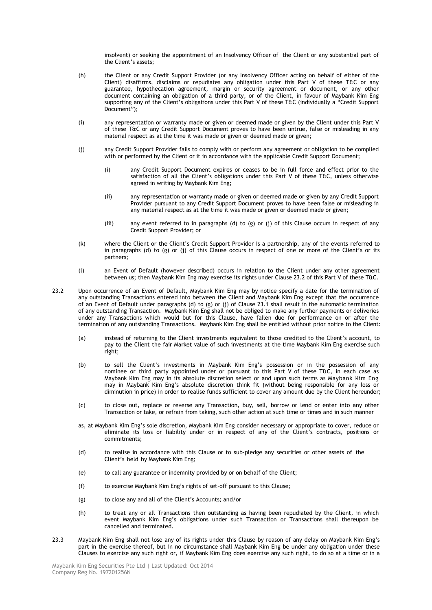insolvent) or seeking the appointment of an Insolvency Officer of the Client or any substantial part of the Client"s assets;

- (h) the Client or any Credit Support Provider (or any Insolvency Officer acting on behalf of either of the Client) disaffirms, disclaims or repudiates any obligation under this Part V of these T&C or any guarantee, hypothecation agreement, margin or security agreement or document, or any other document containing an obligation of a third party, or of the Client, in favour of Maybank Kim Eng supporting any of the Client"s obligations under this Part V of these T&C (individually a "Credit Support Document");
- (i) any representation or warranty made or given or deemed made or given by the Client under this Part V of these T&C or any Credit Support Document proves to have been untrue, false or misleading in any material respect as at the time it was made or given or deemed made or given;
- (j) any Credit Support Provider fails to comply with or perform any agreement or obligation to be complied with or performed by the Client or it in accordance with the applicable Credit Support Document;
	- (i) any Credit Support Document expires or ceases to be in full force and effect prior to the satisfaction of all the Client's obligations under this Part V of these T&C, unless otherwise agreed in writing by Maybank Kim Eng;
	- (ii) any representation or warranty made or given or deemed made or given by any Credit Support Provider pursuant to any Credit Support Document proves to have been false or misleading in any material respect as at the time it was made or given or deemed made or given;
	- (iii) any event referred to in paragraphs (d) to (g) or (j) of this Clause occurs in respect of any Credit Support Provider; or
- (k) where the Client or the Client"s Credit Support Provider is a partnership, any of the events referred to in paragraphs (d) to (g) or (j) of this Clause occurs in respect of one or more of the Client"s or its partners;
- (l) an Event of Default (however described) occurs in relation to the Client under any other agreement between us; then Maybank Kim Eng may exercise its rights under Clause 23.2 of this Part V of these T&C.
- 23.2 Upon occurrence of an Event of Default, Maybank Kim Eng may by notice specify a date for the termination of any outstanding Transactions entered into between the Client and Maybank Kim Eng except that the occurrence of an Event of Default under paragraphs (d) to (g) or (j) of Clause 23.1 shall result in the automatic termination of any outstanding Transaction. Maybank Kim Eng shall not be obliged to make any further payments or deliveries under any Transactions which would but for this Clause, have fallen due for performance on or after the termination of any outstanding Transactions. Maybank Kim Eng shall be entitled without prior notice to the Client:
	- (a) instead of returning to the Client investments equivalent to those credited to the Client"s account, to pay to the Client the fair Market value of such investments at the time Maybank Kim Eng exercise such right;
	- (b) to sell the Client"s investments in Maybank Kim Eng"s possession or in the possession of any nominee or third party appointed under or pursuant to this Part V of these T&C, in each case as Maybank Kim Eng may in its absolute discretion select or and upon such terms as Maybank Kim Eng may in Maybank Kim Eng"s absolute discretion think fit (without being responsible for any loss or diminution in price) in order to realise funds sufficient to cover any amount due by the Client hereunder;
	- (c) to close out, replace or reverse any Transaction, buy, sell, borrow or lend or enter into any other Transaction or take, or refrain from taking, such other action at such time or times and in such manner
	- as, at Maybank Kim Eng"s sole discretion, Maybank Kim Eng consider necessary or appropriate to cover, reduce or eliminate its loss or liability under or in respect of any of the Client"s contracts, positions or commitments;
	- (d) to realise in accordance with this Clause or to sub-pledge any securities or other assets of the Client"s held by Maybank Kim Eng;
	- (e) to call any guarantee or indemnity provided by or on behalf of the Client;
	- (f) to exercise Maybank Kim Eng"s rights of set-off pursuant to this Clause;
	- (g) to close any and all of the Client"s Accounts; and/or
	- (h) to treat any or all Transactions then outstanding as having been repudiated by the Client, in which event Maybank Kim Eng"s obligations under such Transaction or Transactions shall thereupon be cancelled and terminated.
- 23.3 Maybank Kim Eng shall not lose any of its rights under this Clause by reason of any delay on Maybank Kim Eng"s part in the exercise thereof, but in no circumstance shall Maybank Kim Eng be under any obligation under these Clauses to exercise any such right or, if Maybank Kim Eng does exercise any such right, to do so at a time or in a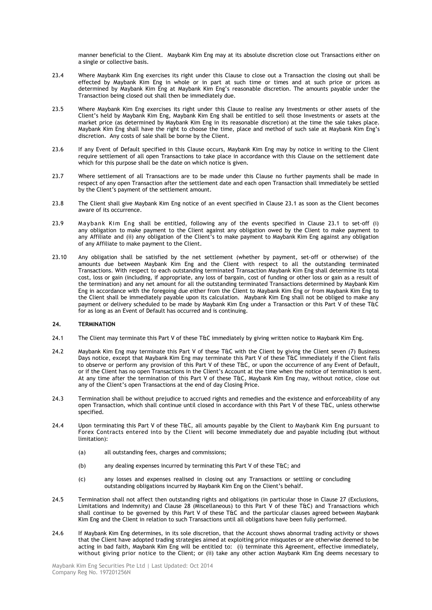manner beneficial to the Client. Maybank Kim Eng may at its absolute discretion close out Transactions either on a single or collective basis.

- 23.4 Where Maybank Kim Eng exercises its right under this Clause to close out a Transaction the closing out shall be effected by Maybank Kim Eng in whole or in part at such time or times and at such price or prices as determined by Maybank Kim Eng at Maybank Kim Eng"s reasonable discretion. The amounts payable under the Transaction being closed out shall then be immediately due.
- 23.5 Where Maybank Kim Eng exercises its right under this Clause to realise any Investments or other assets of the Client"s held by Maybank Kim Eng, Maybank Kim Eng shall be entitled to sell those Investments or assets at the market price (as determined by Maybank Kim Eng in its reasonable discretion) at the time the sale takes place. Maybank Kim Eng shall have the right to choose the time, place and method of such sale at Maybank Kim Eng"s discretion. Any costs of sale shall be borne by the Client.
- 23.6 If any Event of Default specified in this Clause occurs, Maybank Kim Eng may by notice in writing to the Client require settlement of all open Transactions to take place in accordance with this Clause on the settlement date which for this purpose shall be the date on which notice is given.
- 23.7 Where settlement of all Transactions are to be made under this Clause no further payments shall be made in respect of any open Transaction after the settlement date and each open Transaction shall immediately be settled by the Client's payment of the settlement amount.
- 23.8 The Client shall give Maybank Kim Eng notice of an event specified in Clause 23.1 as soon as the Client becomes aware of its occurrence.
- 23.9 Maybank Kim Eng shall be entitled, following any of the events specified in Clause 23.1 to set-off (i) any obligation to make payment to the Client against any obligation owed by the Client to make payment to any Affiliate and (ii) any obligation of the Client"s to make payment to Maybank Kim Eng against any obligation of any Affiliate to make payment to the Client.
- 23.10 Any obligation shall be satisfied by the net settlement (whether by payment, set-off or otherwise) of the amounts due between Maybank Kim Eng and the Client with respect to all the outstanding terminated Transactions. With respect to each outstanding terminated Transaction Maybank Kim Eng shall determine its total cost, loss or gain (including, if appropriate, any loss of bargain, cost of funding or other loss or gain as a result of the termination) and any net amount for all the outstanding terminated Transactions determined by Maybank Kim Eng in accordance with the foregoing due either from the Client to Maybank Kim Eng or from Maybank Kim Eng to the Client shall be immediately payable upon its calculation. Maybank Kim Eng shall not be obliged to make any payment or delivery scheduled to be made by Maybank Kim Eng under a Transaction or this Part V of these T&C for as long as an Event of Default has occurred and is continuing.

#### **24. TERMINATION**

- 24.1 The Client may terminate this Part V of these T&C immediately by giving written notice to Maybank Kim Eng.
- 24.2 Maybank Kim Eng may terminate this Part V of these T&C with the Client by giving the Client seven (7) Business Days notice, except that Maybank Kim Eng may terminate this Part V of these T&C immediately if the Client fails to observe or perform any provision of this Part V of these T&C, or upon the occurrence of any Event of Default, or if the Client has no open Transactions in the Client"s Account at the time when the notice of termination is sent. At any time after the termination of this Part V of these T&C, Maybank Kim Eng may, without notice, close out any of the Client's open Transactions at the end of day Closing Price.
- 24.3 Termination shall be without prejudice to accrued rights and remedies and the existence and enforceability of any open Transaction, which shall continue until closed in accordance with this Part V of these T&C, unless otherwise specified.
- 24.4 Upon terminating this Part V of these T&C, all amounts payable by the Client to Maybank Kim Eng pursuant to Forex Contracts entered into by the Client will become immediately due and payable including (but without limitation):
	- (a) all outstanding fees, charges and commissions;
	- (b) any dealing expenses incurred by terminating this Part V of these T&C; and
	- (c) any losses and expenses realised in closing out any Transactions or settling or concluding outstanding obligations incurred by Maybank Kim Eng on the Client's behalf.
- 24.5 Termination shall not affect then outstanding rights and obligations (in particular those in Clause 27 (Exclusions, Limitations and Indemnity) and Clause 28 (Miscellaneous) to this Part V of these T&C) and Transactions which shall continue to be governed by this Part V of these T&C and the particular clauses agreed between Maybank Kim Eng and the Client in relation to such Transactions until all obligations have been fully performed.
- 24.6 If Maybank Kim Eng determines, in its sole discretion, that the Account shows abnormal trading activity or shows that the Client have adopted trading strategies aimed at exploiting price misquotes or are otherwise deemed to be acting in bad faith, Maybank Kim Eng will be entitled to: (i) terminate this Agreement, effective immediately, without giving prior notice to the Client; or (ii) take any other action Maybank Kim Eng deems necessary to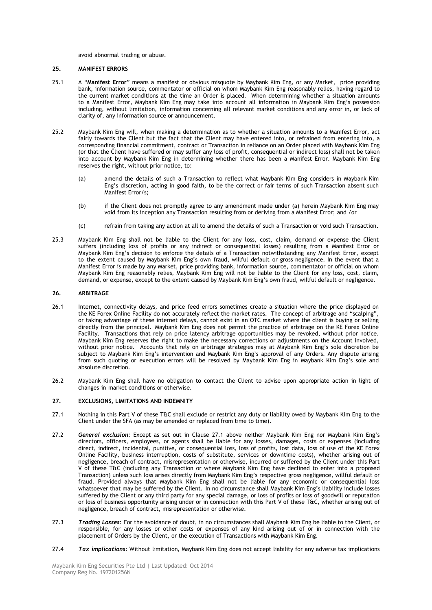avoid abnormal trading or abuse.

## **25. MANIFEST ERRORS**

- 25.1 A "**Manifest Error**" means a manifest or obvious misquote by Maybank Kim Eng, or any Market, price providing bank, information source, commentator or official on whom Maybank Kim Eng reasonably relies, having regard to the current market conditions at the time an Order is placed. When determining whether a situation amounts to a Manifest Error, Maybank Kim Eng may take into account all information in Maybank Kim Eng"s possession including, without limitation, information concerning all relevant market conditions and any error in, or lack of clarity of, any information source or announcement.
- 25.2 Maybank Kim Eng will, when making a determination as to whether a situation amounts to a Manifest Error, act fairly towards the Client but the fact that the Client may have entered into, or refrained from entering into, a corresponding financial commitment, contract or Transaction in reliance on an Order placed with Maybank Kim Eng (or that the Client have suffered or may suffer any loss of profit, consequential or indirect loss) shall not be taken into account by Maybank Kim Eng in determining whether there has been a Manifest Error. Maybank Kim Eng reserves the right, without prior notice, to:
	- (a) amend the details of such a Transaction to reflect what Maybank Kim Eng considers in Maybank Kim Eng"s discretion, acting in good faith, to be the correct or fair terms of such Transaction absent such Manifest Error/s;
	- (b) if the Client does not promptly agree to any amendment made under (a) herein Maybank Kim Eng may void from its inception any Transaction resulting from or deriving from a Manifest Error; and /or
	- (c) refrain from taking any action at all to amend the details of such a Transaction or void such Transaction.
- 25.3 Maybank Kim Eng shall not be liable to the Client for any loss, cost, claim, demand or expense the Client suffers (including loss of profits or any indirect or consequential losses) resulting from a Manifest Error or Maybank Kim Eng"s decision to enforce the details of a Transaction notwithstanding any Manifest Error, except to the extent caused by Maybank Kim Eng"s own fraud, willful default or gross negligence. In the event that a Manifest Error is made by any Market, price providing bank, information source, commentator or official on whom Maybank Kim Eng reasonably relies, Maybank Kim Eng will not be liable to the Client for any loss, cost, claim, demand, or expense, except to the extent caused by Maybank Kim Eng"s own fraud, willful default or negligence.

#### **26. ARBITRAGE**

- 26.1 Internet, connectivity delays, and price feed errors sometimes create a situation where the price displayed on the KE Forex Online Facility do not accurately reflect the market rates. The concept of arbitrage and "scalping", or taking advantage of these internet delays, cannot exist in an OTC market where the client is buying or selling directly from the principal. Maybank Kim Eng does not permit the practice of arbitrage on the KE Forex Online Facility. Transactions that rely on price latency arbitrage opportunities may be revoked, without prior notice. Maybank Kim Eng reserves the right to make the necessary corrections or adjustments on the Account involved, without prior notice. Accounts that rely on arbitrage strategies may at Maybank Kim Eng"s sole discretion be subject to Maybank Kim Eng"s intervention and Maybank Kim Eng"s approval of any Orders. Any dispute arising from such quoting or execution errors will be resolved by Maybank Kim Eng in Maybank Kim Eng"s sole and absolute discretion.
- 26.2 Maybank Kim Eng shall have no obligation to contact the Client to advise upon appropriate action in light of changes in market conditions or otherwise.

#### **27. EXCLUSIONS, LIMITATIONS AND INDEMNITY**

- 27.1 Nothing in this Part V of these T&C shall exclude or restrict any duty or liability owed by Maybank Kim Eng to the Client under the SFA (as may be amended or replaced from time to time).
- 27.2 *General exclusion*: Except as set out in Clause 27.1 above neither Maybank Kim Eng nor Maybank Kim Eng"s directors, officers, employees, or agents shall be liable for any losses, damages, costs or expenses (including direct, indirect, incidental, punitive, or consequential loss, loss of profits, lost data, loss of use of the KE Forex Online Facility, business interruption, costs of substitute, services or downtime costs), whether arising out of negligence, breach of contract, misrepresentation or otherwise, incurred or suffered by the Client under this Part V of these T&C (including any Transaction or where Maybank Kim Eng have declined to enter into a proposed Transaction) unless such loss arises directly from Maybank Kim Eng"s respective gross negligence, willful default or fraud. Provided always that Maybank Kim Eng shall not be liable for any economic or consequential loss whatsoever that may be suffered by the Client. In no circumstance shall Maybank Kim Eng's liability include losses suffered by the Client or any third party for any special damage, or loss of profits or loss of goodwill or reputation or loss of business opportunity arising under or in connection with this Part V of these T&C, whether arising out of negligence, breach of contract, misrepresentation or otherwise.
- 27.3 *Trading Losses*: For the avoidance of doubt, in no circumstances shall Maybank Kim Eng be liable to the Client, or responsible, for any losses or other costs or expenses of any kind arising out of or in connection with the placement of Orders by the Client, or the execution of Transactions with Maybank Kim Eng.
- 27.4 *Tax implications*: Without limitation, Maybank Kim Eng does not accept liability for any adverse tax implications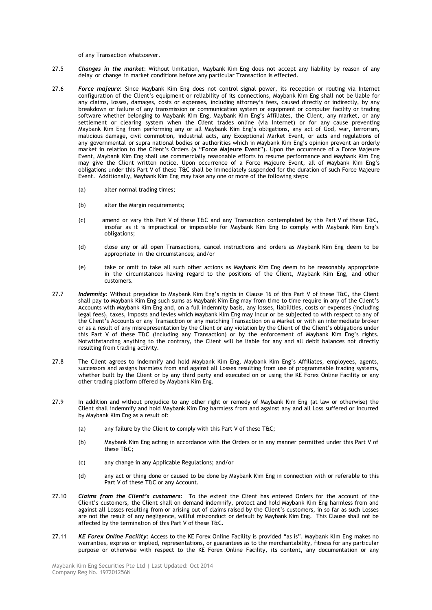of any Transaction whatsoever.

- 27.5 *Changes in the market*: Without limitation, Maybank Kim Eng does not accept any liability by reason of any delay or change in market conditions before any particular Transaction is effected.
- 27.6 *Force majeure*: Since Maybank Kim Eng does not control signal power, its reception or routing via Internet configuration of the Client"s equipment or reliability of its connections, Maybank Kim Eng shall not be liable for any claims, losses, damages, costs or expenses, including attorney"s fees, caused directly or indirectly, by any breakdown or failure of any transmission or communication system or equipment or computer facility or trading software whether belonging to Maybank Kim Eng, Maybank Kim Eng"s Affiliates, the Client, any market, or any settlement or clearing system when the Client trades online (via Internet) or for any cause preventing Maybank Kim Eng from performing any or all Maybank Kim Eng"s obligations, any act of God, war, terrorism, malicious damage, civil commotion, industrial acts, any Exceptional Market Event, or acts and regulations of any governmental or supra national bodies or authorities which in Maybank Kim Eng"s opinion prevent an orderly market in relation to the Client"s Orders (a "**Force Majeure Event**"). Upon the occurrence of a Force Majeure Event, Maybank Kim Eng shall use commercially reasonable efforts to resume performance and Maybank Kim Eng may give the Client written notice. Upon occurrence of a Force Majeure Event, all of Maybank Kim Eng"s obligations under this Part V of these T&C shall be immediately suspended for the duration of such Force Majeure Event. Additionally, Maybank Kim Eng may take any one or more of the following steps:
	- (a) alter normal trading times;
	- (b) alter the Margin requirements;
	- (c) amend or vary this Part V of these T&C and any Transaction contemplated by this Part V of these T&C, insofar as it is impractical or impossible for Maybank Kim Eng to comply with Maybank Kim Eng"s obligations;
	- (d) close any or all open Transactions, cancel instructions and orders as Maybank Kim Eng deem to be appropriate in the circumstances; and/or
	- (e) take or omit to take all such other actions as Maybank Kim Eng deem to be reasonably appropriate in the circumstances having regard to the positions of the Client, Maybank Kim Eng, and other customers.
- 27.7 **Indemnity:** Without prejudice to Maybank Kim Eng's rights in Clause 16 of this Part V of these T&C, the Client shall pay to Maybank Kim Eng such sums as Maybank Kim Eng may from time to time require in any of the Client"s Accounts with Maybank Kim Eng and, on a full indemnity basis, any losses, liabilities, costs or expenses (including legal fees), taxes, imposts and levies which Maybank Kim Eng may incur or be subjected to with respect to any of the Client"s Accounts or any Transaction or any matching Transaction on a Market or with an intermediate broker or as a result of any misrepresentation by the Client or any violation by the Client of the Client"s obligations under this Part V of these T&C (including any Transaction) or by the enforcement of Maybank Kim Eng"s rights. Notwithstanding anything to the contrary, the Client will be liable for any and all debit balances not directly resulting from trading activity.
- 27.8 The Client agrees to indemnify and hold Maybank Kim Eng, Maybank Kim Eng"s Affiliates, employees, agents, successors and assigns harmless from and against all Losses resulting from use of programmable trading systems, whether built by the Client or by any third party and executed on or using the KE Forex Online Facility or any other trading platform offered by Maybank Kim Eng.
- 27.9 In addition and without prejudice to any other right or remedy of Maybank Kim Eng (at law or otherwise) the Client shall indemnify and hold Maybank Kim Eng harmless from and against any and all Loss suffered or incurred by Maybank Kim Eng as a result of:
	- (a) any failure by the Client to comply with this Part V of these T&C;
	- (b) Maybank Kim Eng acting in accordance with the Orders or in any manner permitted under this Part V of these T&C;
	- (c) any change in any Applicable Regulations; and/or
	- (d) any act or thing done or caused to be done by Maybank Kim Eng in connection with or referable to this Part V of these T&C or any Account.
- 27.10 *Claims from the Client's customers*: To the extent the Client has entered Orders for the account of the Client"s customers, the Client shall on demand indemnify, protect and hold Maybank Kim Eng harmless from and against all Losses resulting from or arising out of claims raised by the Client's customers, in so far as such Losses are not the result of any negligence, willful misconduct or default by Maybank Kim Eng. This Clause shall not be affected by the termination of this Part V of these T&C.
- 27.11 *KE Forex Online Facility*: Access to the KE Forex Online Facility is provided "as is". Maybank Kim Eng makes no warranties, express or implied, representations, or guarantees as to the merchantability, fitness for any particular purpose or otherwise with respect to the KE Forex Online Facility, its content, any documentation or any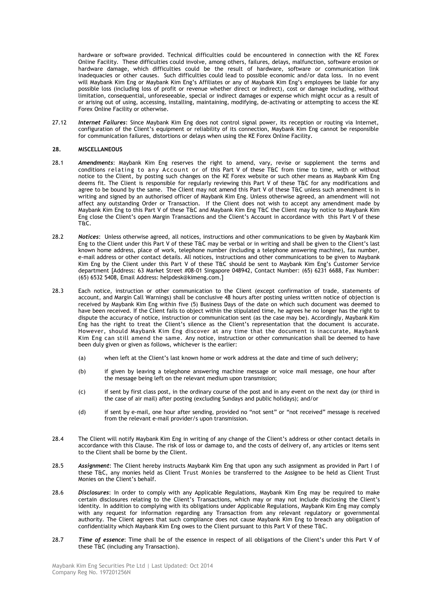hardware or software provided. Technical difficulties could be encountered in connection with the KE Forex Online Facility. These difficulties could involve, among others, failures, delays, malfunction, software erosion or hardware damage, which difficulties could be the result of hardware, software or communication link inadequacies or other causes. Such difficulties could lead to possible economic and/or data loss. In no event will Maybank Kim Eng or Maybank Kim Eng"s Affiliates or any of Maybank Kim Eng"s employees be liable for any possible loss (including loss of profit or revenue whether direct or indirect), cost or damage including, without limitation, consequential, unforeseeable, special or indirect damages or expense which might occur as a result of or arising out of using, accessing, installing, maintaining, modifying, de-activating or attempting to access the KE Forex Online Facility or otherwise.

27.12 *Internet Failures*: Since Maybank Kim Eng does not control signal power, its reception or routing via Internet, configuration of the Client"s equipment or reliability of its connection, Maybank Kim Eng cannot be responsible for communication failures, distortions or delays when using the KE Forex Online Facility.

#### **28. MISCELLANEOUS**

- 28.1 *Amendments*: Maybank Kim Eng reserves the right to amend, vary, revise or supplement the terms and conditions relating to any Account or of this Part V of these T&C from time to time, with or without notice to the Client, by posting such changes on the KE Forex website or such other means as Maybank Kim Eng deems fit. The Client is responsible for regularly reviewing this Part V of these T&C for any modifications and agree to be bound by the same. The Client may not amend this Part V of these T&C unless such amendment is in writing and signed by an authorised officer of Maybank Kim Eng. Unless otherwise agreed, an amendment will not affect any outstanding Order or Transaction. If the Client does not wish to accept any amendment made by Maybank Kim Eng to this Part V of these T&C and Maybank Kim Eng T&C the Client may by notice to Maybank Kim Eng close the Client"s open Margin Transactions and the Client"s Account in accordance with this Part V of these T&C.
- 28.2 *Notices*: Unless otherwise agreed, all notices, instructions and other communications to be given by Maybank Kim Eng to the Client under this Part V of these T&C may be verbal or in writing and shall be given to the Client"s last known home address, place of work, telephone number (including a telephone answering machine), fax number, e-mail address or other contact details. All notices, instructions and other communications to be given to Maybank Kim Eng by the Client under this Part V of these T&C should be sent to Maybank Kim Eng's Customer Service department [Address: 63 Market Street #08-01 Singapore 048942, Contact Number: (65) 6231 6688, Fax Number: (65) 6532 5408, Email Address: helpdesk@kimeng.com.]
- 28.3 Each notice, instruction or other communication to the Client (except confirmation of trade, statements of account, and Margin Call Warnings) shall be conclusive 48 hours after posting unless written notice of objection is received by Maybank Kim Eng within five (5) Business Days of the date on which such document was deemed to have been received. If the Client fails to object within the stipulated time, he agrees he no longer has the right to dispute the accuracy of notice, instruction or communication sent (as the case may be). Accordingly, Maybank Kim Eng has the right to treat the Client"s silence as the Client"s representation that the document is accurate. However, should Maybank Kim Eng discover at any time that the document is inaccurate, Maybank Kim Eng can still amend the same. Any notice, instruction or other communication shall be deemed to have been duly given or given as follows, whichever is the earlier:
	- (a) when left at the Client"s last known home or work address at the date and time of such delivery;
	- (b) if given by leaving a telephone answering machine message or voice mail message, one hour after the message being left on the relevant medium upon transmission;
	- (c) if sent by first class post, in the ordinary course of the post and in any event on the next day (or third in the case of air mail) after posting (excluding Sundays and public holidays); and/or
	- (d) if sent by e-mail, one hour after sending, provided no "not sent" or "not received" message is received from the relevant e-mail provider/s upon transmission.
- 28.4 The Client will notify Maybank Kim Eng in writing of any change of the Client"s address or other contact details in accordance with this Clause. The risk of loss or damage to, and the costs of delivery of, any articles or items sent to the Client shall be borne by the Client.
- 28.5 *Assignment*: The Client hereby instructs Maybank Kim Eng that upon any such assignment as provided in Part I of these T&C, any monies held as Client Trust Monies be transferred to the Assignee to be held as Client Trust Monies on the Client"s behalf.
- 28.6 *Disclosures*: In order to comply with any Applicable Regulations, Maybank Kim Eng may be required to make certain disclosures relating to the Client"s Transactions, which may or may not include disclosing the Client"s identity. In addition to complying with its obligations under Applicable Regulations, Maybank Kim Eng may comply with any request for information regarding any Transaction from any relevant regulatory or governmental authority. The Client agrees that such compliance does not cause Maybank Kim Eng to breach any obligation of confidentiality which Maybank Kim Eng owes to the Client pursuant to this Part V of these T&C.
- 28.7 *Time of essence*: Time shall be of the essence in respect of all obligations of the Client"s under this Part V of these T&C (including any Transaction).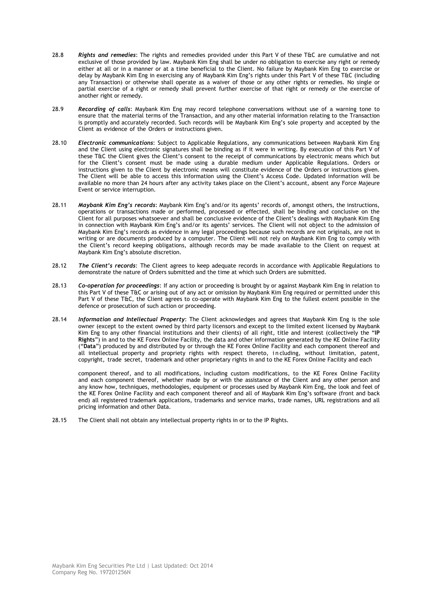- 28.8 *Rights and remedies*: The rights and remedies provided under this Part V of these T&C are cumulative and not exclusive of those provided by law. Maybank Kim Eng shall be under no obligation to exercise any right or remedy either at all or in a manner or at a time beneficial to the Client. No failure by Maybank Kim Eng to exercise or delay by Maybank Kim Eng in exercising any of Maybank Kim Eng's rights under this Part V of these T&C (including any Transaction) or otherwise shall operate as a waiver of those or any other rights or remedies. No single or partial exercise of a right or remedy shall prevent further exercise of that right or remedy or the exercise of another right or remedy.
- 28.9 *Recording of calls*: Maybank Kim Eng may record telephone conversations without use of a warning tone to ensure that the material terms of the Transaction, and any other material information relating to the Transaction is promptly and accurately recorded. Such records will be Maybank Kim Eng"s sole property and accepted by the Client as evidence of the Orders or instructions given.
- 28.10 *Electronic communications*: Subject to Applicable Regulations, any communications between Maybank Kim Eng and the Client using electronic signatures shall be binding as if it were in writing. By execution of this Part V of these T&C the Client gives the Client"s consent to the receipt of communications by electronic means which but for the Client"s consent must be made using a durable medium under Applicable Regulations. Orders or instructions given to the Client by electronic means will constitute evidence of the Orders or instructions given. The Client will be able to access this information using the Client"s Access Code. Updated information will be available no more than 24 hours after any activity takes place on the Client's account, absent any Force Majeure Event or service interruption.
- 28.11 *Maybank Kim Eng's records*: Maybank Kim Eng"s and/or its agents" records of, amongst others, the instructions, operations or transactions made or performed, processed or effected, shall be binding and conclusive on the Client for all purposes whatsoever and shall be conclusive evidence of the Client"s dealings with Maybank Kim Eng in connection with Maybank Kim Eng"s and/or its agents" services. The Client will not object to the admission of Maybank Kim Eng"s records as evidence in any legal proceedings because such records are not originals, are not in writing or are documents produced by a computer. The Client will not rely on Maybank Kim Eng to comply with the Client"s record keeping obligations, although records may be made available to the Client on request at Maybank Kim Eng"s absolute discretion.
- 28.12 *The Client's records*: The Client agrees to keep adequate records in accordance with Applicable Regulations to demonstrate the nature of Orders submitted and the time at which such Orders are submitted.
- 28.13 *Co-operation for proceedings*: If any action or proceeding is brought by or against Maybank Kim Eng in relation to this Part V of these T&C or arising out of any act or omission by Maybank Kim Eng required or permitted under this Part V of these T&C, the Client agrees to co-operate with Maybank Kim Eng to the fullest extent possible in the defence or prosecution of such action or proceeding.
- 28.14 *Information and Intellectual Property*: The Client acknowledges and agrees that Maybank Kim Eng is the sole owner (except to the extent owned by third party licensors and except to the limited extent licensed by Maybank Kim Eng to any other financial institutions and their clients) of all right, title and interest (collectively the "**IP Rights**") in and to the KE Forex Online Facility, the data and other information generated by the KE Online Facility ("**Data**") produced by and distributed by or through the KE Forex Online Facility and each component thereof and all intellectual property and propriety rights with respect thereto, i n cluding, without limitation, patent, copyright, trade secret, trademark and other proprietary rights in and to the KE Forex Online Facility and each

component thereof, and to all modifications, including custom modifications, to the KE Forex Online Facility and each component thereof, whether made by or with the assistance of the Client and any other person and any know how, techniques, methodologies, equipment or processes used by Maybank Kim Eng, the look and feel of the KE Forex Online Facility and each component thereof and all of Maybank Kim Eng"s software (front and back end) all registered trademark applications, trademarks and service marks, trade names, URL registrations and all pricing information and other Data.

28.15 The Client shall not obtain any intellectual property rights in or to the IP Rights.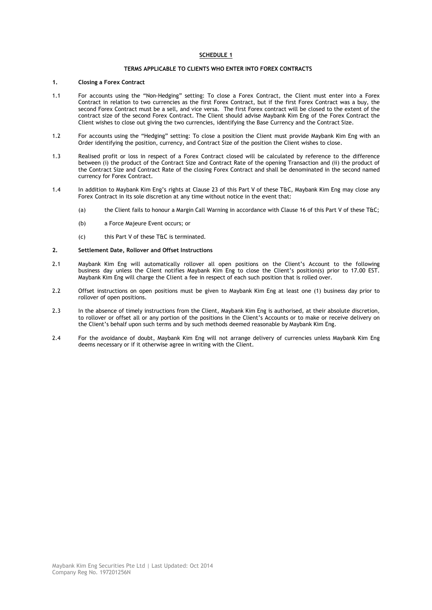## **SCHEDULE 1**

## **TERMS APPLICABLE TO CLIENTS WHO ENTER INTO FOREX CONTRACTS**

#### **1. Closing a Forex Contract**

- 1.1 For accounts using the "Non-Hedging" setting: To close a Forex Contract, the Client must enter into a Forex Contract in relation to two currencies as the first Forex Contract, but if the first Forex Contract was a buy, the second Forex Contract must be a sell, and vice versa. The first Forex contract will be closed to the extent of the contract size of the second Forex Contract. The Client should advise Maybank Kim Eng of the Forex Contract the Client wishes to close out giving the two currencies, identifying the Base Currency and the Contract Size.
- 1.2 For accounts using the "Hedging" setting: To close a position the Client must provide Maybank Kim Eng with an Order identifying the position, currency, and Contract Size of the position the Client wishes to close.
- 1.3 Realised profit or loss in respect of a Forex Contract closed will be calculated by reference to the difference between (i) the product of the Contract Size and Contract Rate of the opening Transaction and (ii) the product of the Contract Size and Contract Rate of the closing Forex Contract and shall be denominated in the second named currency for Forex Contract.
- 1.4 In addition to Maybank Kim Eng"s rights at Clause 23 of this Part V of these T&C, Maybank Kim Eng may close any Forex Contract in its sole discretion at any time without notice in the event that:
	- (a) the Client fails to honour a Margin Call Warning in accordance with Clause 16 of this Part V of these T&C;
	- (b) a Force Majeure Event occurs; or
	- (c) this Part V of these T&C is terminated.

#### **2. Settlement Date, Rollover and Offset Instructions**

- 2.1 Maybank Kim Eng will automatically rollover all open positions on the Client"s Account to the following business day unless the Client notifies Maybank Kim Eng to close the Client"s position(s) prior to 17.00 EST. Maybank Kim Eng will charge the Client a fee in respect of each such position that is rolled over.
- 2.2 Offset instructions on open positions must be given to Maybank Kim Eng at least one (1) business day prior to rollover of open positions.
- 2.3 In the absence of timely instructions from the Client, Maybank Kim Eng is authorised, at their absolute discretion, to rollover or offset all or any portion of the positions in the Client"s Accounts or to make or receive delivery on the Client"s behalf upon such terms and by such methods deemed reasonable by Maybank Kim Eng.
- 2.4 For the avoidance of doubt, Maybank Kim Eng will not arrange delivery of currencies unless Maybank Kim Eng deems necessary or if it otherwise agree in writing with the Client.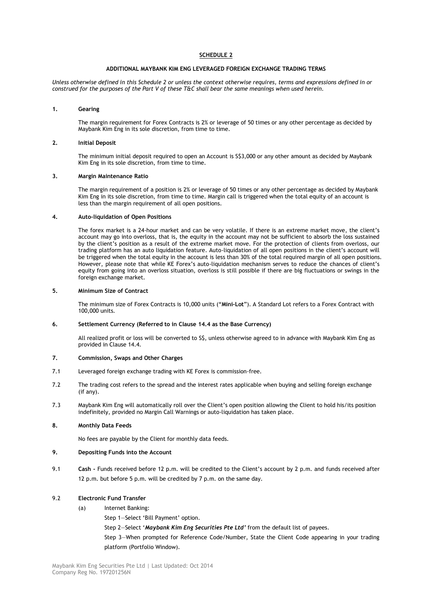## **SCHEDULE 2**

#### **ADDITIONAL MAYBANK KIM ENG LEVERAGED FOREIGN EXCHANGE TRADING TERMS**

*Unless otherwise defined in this Schedule 2 or unless the context otherwise requires, terms and expressions defined in or construed for the purposes of the Part V of these T&C shall bear the same meanings when used herein.* 

#### **1. Gearing**

The margin requirement for Forex Contracts is 2% or leverage of 50 times or any other percentage as decided by Maybank Kim Eng in its sole discretion, from time to time.

#### **2. Initial Deposit**

The minimum initial deposit required to open an Account is S\$3,000 or any other amount as decided by Maybank Kim Eng in its sole discretion, from time to time.

#### **3. Margin Maintenance Ratio**

The margin requirement of a position is 2% or leverage of 50 times or any other percentage as decided by Maybank Kim Eng in its sole discretion, from time to time. Margin call is triggered when the total equity of an account is less than the margin requirement of all open positions.

#### **4. Auto-liquidation of Open Positions**

The forex market is a 24-hour market and can be very volatile. If there is an extreme market move, the client's account may go into overloss, that is, the equity in the account may not be sufficient to absorb the loss sustained by the client"s position as a result of the extreme market move. For the protection of clients from overloss, our trading platform has an auto liquidation feature. Auto-liquidation of all open positions in the client"s account will be triggered when the total equity in the account is less than 30% of the total required margin of all open positions. However, please note that while KE Forex"s auto-liquidation mechanism serves to reduce the chances of client"s equity from going into an overloss situation, overloss is still possible if there are big fluctuations or swings in the foreign exchange market.

#### **5. Minimum Size of Contract**

The minimum size of Forex Contracts is 10,000 units ("**Mini-Lot**"). A Standard Lot refers to a Forex Contract with 100,000 units.

## **6. Settlement Currency (Referred to in Clause 14.4 as the Base Currency)**

All realized profit or loss will be converted to S\$, unless otherwise agreed to in advance with Maybank Kim Eng as provided in Clause 14.4.

#### **7. Commission, Swaps and Other Charges**

- 7.1 Leveraged foreign exchange trading with KE Forex is commission-free.
- 7.2 The trading cost refers to the spread and the interest rates applicable when buying and selling foreign exchange (if any).
- 7.3 Maybank Kim Eng will automatically roll over the Client"s open position allowing the Client to hold his/its position indefinitely, provided no Margin Call Warnings or auto-liquidation has taken place.

#### **8. Monthly Data Feeds**

No fees are payable by the Client for monthly data feeds.

- **9. Depositing Funds into the Account**
- 9.1 **Cash -** Funds received before 12 p.m. will be credited to the Client's account by 2 p.m. and funds received after 12 p.m. but before 5 p.m. will be credited by 7 p.m. on the same day.

## 9.2 **Electronic Fund Transfer**

- (a) Internet Banking:
	- Step 1-Select 'Bill Payment' option.
	- Step 2—Select "*Maybank Kim Eng Securities Pte Ltd'* from the default list of payees.

Step 3—When prompted for Reference Code/Number, State the Client Code appearing in your trading platform (Portfolio Window).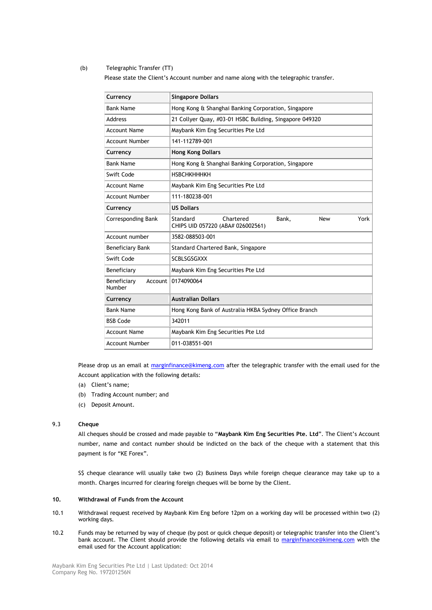## (b) Telegraphic Transfer (TT)

Please state the Client"s Account number and name along with the telegraphic transfer.

| Currency                         | <b>Singapore Dollars</b>                                                                  |  |
|----------------------------------|-------------------------------------------------------------------------------------------|--|
| <b>Bank Name</b>                 | Hong Kong & Shanghai Banking Corporation, Singapore                                       |  |
| <b>Address</b>                   | 21 Collyer Quay, #03-01 HSBC Building, Singapore 049320                                   |  |
| <b>Account Name</b>              | Maybank Kim Eng Securities Pte Ltd                                                        |  |
| <b>Account Number</b>            | 141-112789-001                                                                            |  |
| Currency                         | <b>Hong Kong Dollars</b>                                                                  |  |
| <b>Bank Name</b>                 | Hong Kong & Shanghai Banking Corporation, Singapore                                       |  |
| Swift Code                       | <b>НЅВСНКНННКН</b>                                                                        |  |
| <b>Account Name</b>              | Maybank Kim Eng Securities Pte Ltd                                                        |  |
| <b>Account Number</b>            | 111-180238-001                                                                            |  |
| Currency                         | <b>US Dollars</b>                                                                         |  |
| <b>Corresponding Bank</b>        | Standard<br>Chartered<br>Bank,<br>York<br><b>New</b><br>CHIPS UID 057220 (ABA# 026002561) |  |
| Account number                   | 3582-088503-001                                                                           |  |
| <b>Beneficiary Bank</b>          | Standard Chartered Bank, Singapore                                                        |  |
| Swift Code                       | <b>SCBLSGSGXXX</b>                                                                        |  |
| Beneficiary                      | Maybank Kim Eng Securities Pte Ltd                                                        |  |
| Beneficiary<br>Account<br>Number | 0174090064                                                                                |  |
| Currency                         | <b>Australian Dollars</b>                                                                 |  |
| <b>Bank Name</b>                 | Hong Kong Bank of Australia HKBA Sydney Office Branch                                     |  |
| <b>BSB Code</b>                  | 342011                                                                                    |  |
| <b>Account Name</b>              | Maybank Kim Eng Securities Pte Ltd                                                        |  |
| <b>Account Number</b>            | 011-038551-001                                                                            |  |

Please drop us an email at [marginfinance@kimeng.com](mailto:marginfinance@kimeng.com) after the telegraphic transfer with the email used for the Account application with the following details:

- (a) Client's name;
- (b) Trading Account number; and
- (c) Deposit Amount.

## 9.3 **Cheque**

All cheques should be crossed and made payable to "**Maybank Kim Eng Securities Pte. Ltd**". The Client"s Account number, name and contact number should be indicted on the back of the cheque with a statement that this payment is for "KE Forex".

S\$ cheque clearance will usually take two (2) Business Days while foreign cheque clearance may take up to a month. Charges incurred for clearing foreign cheques will be borne by the Client.

## **10. Withdrawal of Funds from the Account**

- 10.1 Withdrawal request received by Maybank Kim Eng before 12pm on a working day will be processed within two (2) working days.
- 10.2 Funds may be returned by way of cheque (by post or quick cheque deposit) or telegraphic transfer into the Client"s bank account. The Client should provide the following details via email to [marginfinance@kimeng.com](mailto:marginfinance@kimeng.com) with the email used for the Account application: